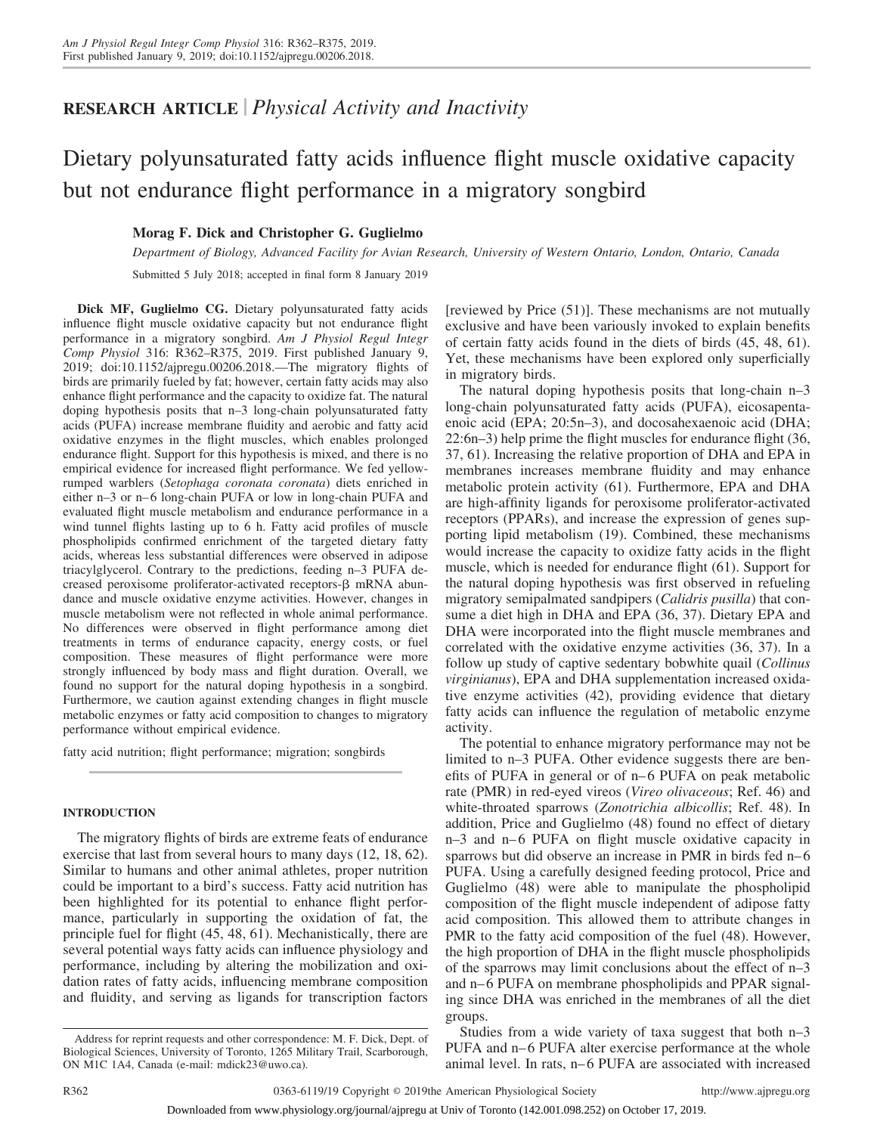# **RESEARCH ARTICLE** *Physical Activity and Inactivity*

# Dietary polyunsaturated fatty acids influence flight muscle oxidative capacity but not endurance flight performance in a migratory songbird

# **Morag F. Dick and Christopher G. Guglielmo**

*Department of Biology, Advanced Facility for Avian Research, University of Western Ontario, London, Ontario, Canada*

Submitted 5 July 2018; accepted in final form 8 January 2019

**Dick MF, Guglielmo CG.** Dietary polyunsaturated fatty acids influence flight muscle oxidative capacity but not endurance flight performance in a migratory songbird. *Am J Physiol Regul Integr Comp Physiol* 316: R362–R375, 2019. First published January 9, 2019; doi[:10.1152/ajpregu.00206.2018.](http://doi.org/10.1152/ajpregu.00206.2018)—The migratory flights of birds are primarily fueled by fat; however, certain fatty acids may also enhance flight performance and the capacity to oxidize fat. The natural doping hypothesis posits that n–3 long-chain polyunsaturated fatty acids (PUFA) increase membrane fluidity and aerobic and fatty acid oxidative enzymes in the flight muscles, which enables prolonged endurance flight. Support for this hypothesis is mixed, and there is no empirical evidence for increased flight performance. We fed yellowrumped warblers (*Setophaga coronata coronata*) diets enriched in either n–3 or n–6 long-chain PUFA or low in long-chain PUFA and evaluated flight muscle metabolism and endurance performance in a wind tunnel flights lasting up to 6 h. Fatty acid profiles of muscle phospholipids confirmed enrichment of the targeted dietary fatty acids, whereas less substantial differences were observed in adipose triacylglycerol. Contrary to the predictions, feeding n–3 PUFA decreased peroxisome proliferator-activated receptors- $\beta$  mRNA abundance and muscle oxidative enzyme activities. However, changes in muscle metabolism were not reflected in whole animal performance. No differences were observed in flight performance among diet treatments in terms of endurance capacity, energy costs, or fuel composition. These measures of flight performance were more strongly influenced by body mass and flight duration. Overall, we found no support for the natural doping hypothesis in a songbird. Furthermore, we caution against extending changes in flight muscle metabolic enzymes or fatty acid composition to changes to migratory performance without empirical evidence.

fatty acid nutrition; flight performance; migration; songbirds

# **INTRODUCTION**

The migratory flights of birds are extreme feats of endurance exercise that last from several hours to many days (12, 18, 62). Similar to humans and other animal athletes, proper nutrition could be important to a bird's success. Fatty acid nutrition has been highlighted for its potential to enhance flight performance, particularly in supporting the oxidation of fat, the principle fuel for flight (45, 48, 61). Mechanistically, there are several potential ways fatty acids can influence physiology and performance, including by altering the mobilization and oxidation rates of fatty acids, influencing membrane composition and fluidity, and serving as ligands for transcription factors

[reviewed by Price (51)]. These mechanisms are not mutually exclusive and have been variously invoked to explain benefits of certain fatty acids found in the diets of birds (45, 48, 61). Yet, these mechanisms have been explored only superficially in migratory birds.

The natural doping hypothesis posits that long-chain n–3 long-chain polyunsaturated fatty acids (PUFA), eicosapentaenoic acid (EPA; 20:5n–3), and docosahexaenoic acid (DHA; 22:6n–3) help prime the flight muscles for endurance flight (36, 37, 61). Increasing the relative proportion of DHA and EPA in membranes increases membrane fluidity and may enhance metabolic protein activity (61). Furthermore, EPA and DHA are high-affinity ligands for peroxisome proliferator-activated receptors (PPARs), and increase the expression of genes supporting lipid metabolism (19). Combined, these mechanisms would increase the capacity to oxidize fatty acids in the flight muscle, which is needed for endurance flight (61). Support for the natural doping hypothesis was first observed in refueling migratory semipalmated sandpipers (*Calidris pusilla*) that consume a diet high in DHA and EPA (36, 37). Dietary EPA and DHA were incorporated into the flight muscle membranes and correlated with the oxidative enzyme activities (36, 37). In a follow up study of captive sedentary bobwhite quail (*Collinus virginianus*), EPA and DHA supplementation increased oxidative enzyme activities (42), providing evidence that dietary fatty acids can influence the regulation of metabolic enzyme activity.

The potential to enhance migratory performance may not be limited to n–3 PUFA. Other evidence suggests there are benefits of PUFA in general or of n–6 PUFA on peak metabolic rate (PMR) in red-eyed vireos (*Vireo olivaceous*; Ref. 46) and white-throated sparrows (*Zonotrichia albicollis*; Ref. 48). In addition, Price and Guglielmo (48) found no effect of dietary n–3 and n– 6 PUFA on flight muscle oxidative capacity in sparrows but did observe an increase in PMR in birds fed n–6 PUFA. Using a carefully designed feeding protocol, Price and Guglielmo (48) were able to manipulate the phospholipid composition of the flight muscle independent of adipose fatty acid composition. This allowed them to attribute changes in PMR to the fatty acid composition of the fuel (48). However, the high proportion of DHA in the flight muscle phospholipids of the sparrows may limit conclusions about the effect of n–3 and n–6 PUFA on membrane phospholipids and PPAR signaling since DHA was enriched in the membranes of all the diet groups.

Studies from a wide variety of taxa suggest that both n–3 PUFA and n–6 PUFA alter exercise performance at the whole animal level. In rats, n– 6 PUFA are associated with increased

Address for reprint requests and other correspondence: M. F. Dick, Dept. of Biological Sciences, University of Toronto, 1265 Military Trail, Scarborough, ON M1C 1A4, Canada (e-mail: [mdick23@uwo.ca\)](mailto:mdick23@uwo.ca).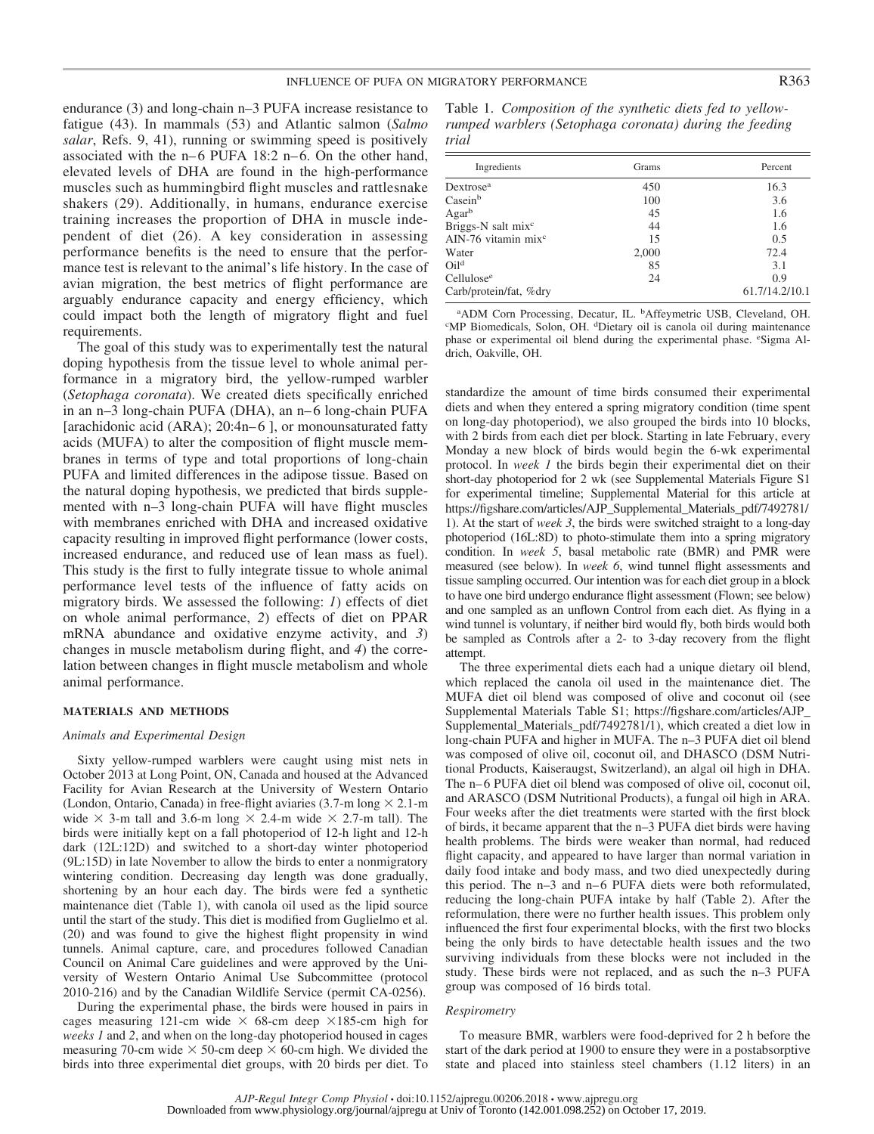endurance (3) and long-chain n–3 PUFA increase resistance to fatigue (43). In mammals (53) and Atlantic salmon (*Salmo salar*, Refs. 9, 41), running or swimming speed is positively associated with the  $n-6$  PUFA 18:2  $n-6$ . On the other hand, elevated levels of DHA are found in the high-performance muscles such as hummingbird flight muscles and rattlesnake shakers (29). Additionally, in humans, endurance exercise training increases the proportion of DHA in muscle independent of diet (26). A key consideration in assessing performance benefits is the need to ensure that the performance test is relevant to the animal's life history. In the case of avian migration, the best metrics of flight performance are arguably endurance capacity and energy efficiency, which could impact both the length of migratory flight and fuel requirements.

The goal of this study was to experimentally test the natural doping hypothesis from the tissue level to whole animal performance in a migratory bird, the yellow-rumped warbler (*Setophaga coronata*). We created diets specifically enriched in an n–3 long-chain PUFA (DHA), an n– 6 long-chain PUFA [arachidonic acid (ARA);  $20:4n-6$  ], or monounsaturated fatty acids (MUFA) to alter the composition of flight muscle membranes in terms of type and total proportions of long-chain PUFA and limited differences in the adipose tissue. Based on the natural doping hypothesis, we predicted that birds supplemented with n–3 long-chain PUFA will have flight muscles with membranes enriched with DHA and increased oxidative capacity resulting in improved flight performance (lower costs, increased endurance, and reduced use of lean mass as fuel). This study is the first to fully integrate tissue to whole animal performance level tests of the influence of fatty acids on migratory birds. We assessed the following: *1*) effects of diet on whole animal performance, *2*) effects of diet on PPAR mRNA abundance and oxidative enzyme activity, and *3*) changes in muscle metabolism during flight, and *4*) the correlation between changes in flight muscle metabolism and whole animal performance.

# **MATERIALS AND METHODS**

#### *Animals and Experimental Design*

Sixty yellow-rumped warblers were caught using mist nets in October 2013 at Long Point, ON, Canada and housed at the Advanced Facility for Avian Research at the University of Western Ontario (London, Ontario, Canada) in free-flight aviaries (3.7-m long  $\times$  2.1-m wide  $\times$  3-m tall and 3.6-m long  $\times$  2.4-m wide  $\times$  2.7-m tall). The birds were initially kept on a fall photoperiod of 12-h light and 12-h dark (12L:12D) and switched to a short-day winter photoperiod (9L:15D) in late November to allow the birds to enter a nonmigratory wintering condition. Decreasing day length was done gradually, shortening by an hour each day. The birds were fed a synthetic maintenance diet (Table 1), with canola oil used as the lipid source until the start of the study. This diet is modified from Guglielmo et al. (20) and was found to give the highest flight propensity in wind tunnels. Animal capture, care, and procedures followed Canadian Council on Animal Care guidelines and were approved by the University of Western Ontario Animal Use Subcommittee (protocol 2010-216) and by the Canadian Wildlife Service (permit CA-0256).

During the experimental phase, the birds were housed in pairs in cages measuring 121-cm wide  $\times$  68-cm deep  $\times$ 185-cm high for *weeks 1* and *2*, and when on the long-day photoperiod housed in cages measuring 70-cm wide  $\times$  50-cm deep  $\times$  60-cm high. We divided the birds into three experimental diet groups, with 20 birds per diet. To Table 1. *Composition of the synthetic diets fed to yellowrumped warblers (Setophaga coronata) during the feeding trial*

| Ingredients                            | Grams | Percent        |
|----------------------------------------|-------|----------------|
| Dextrose <sup>a</sup>                  | 450   | 16.3           |
| Casein <sup>b</sup>                    | 100   | 3.6            |
| Agar <sup>b</sup>                      | 45    | 1.6            |
| Briggs-N salt mix <sup>c</sup>         | 44    | 1.6            |
| $\text{AIN-76 vitamin mix}^{\text{c}}$ | 15    | 0.5            |
| Water                                  | 2,000 | 72.4           |
| Oil <sup>d</sup>                       | 85    | 3.1            |
| Cellulose <sup>e</sup>                 | 24    | 0.9            |
| Carb/protein/fat, %dry                 |       | 61.7/14.2/10.1 |

<sup>a</sup> ADM Corn Processing, Decatur, IL. <sup>b</sup> Affeymetric USB, Cleveland, OH.<br>
SMP Biomedicals, Solon, OH, <sup>d</sup>Dietary oil is canola oil during maintenance MP Biomedicals, Solon, OH. <sup>d</sup> Dietary oil is canola oil during maintenance phase or experimental oil blend during the experimental phase. eSigma Aldrich, Oakville, OH.

standardize the amount of time birds consumed their experimental diets and when they entered a spring migratory condition (time spent on long-day photoperiod), we also grouped the birds into 10 blocks, with 2 birds from each diet per block. Starting in late February, every Monday a new block of birds would begin the 6-wk experimental protocol. In *week 1* the birds begin their experimental diet on their short-day photoperiod for 2 wk (see Supplemental Materials Figure S1 for experimental timeline; Supplemental Material for this article at [https://figshare.com/articles/AJP\\_Supplemental\\_Materials\\_pdf/7492781/](https://figshare.com/articles/AJP_Supplemental_Materials_pdf/7492781/1) [1\)](https://figshare.com/articles/AJP_Supplemental_Materials_pdf/7492781/1). At the start of *week 3*, the birds were switched straight to a long-day photoperiod (16L:8D) to photo-stimulate them into a spring migratory condition. In *week 5*, basal metabolic rate (BMR) and PMR were measured (see below). In *week 6*, wind tunnel flight assessments and tissue sampling occurred. Our intention was for each diet group in a block to have one bird undergo endurance flight assessment (Flown; see below) and one sampled as an unflown Control from each diet. As flying in a wind tunnel is voluntary, if neither bird would fly, both birds would both be sampled as Controls after a 2- to 3-day recovery from the flight attempt.

The three experimental diets each had a unique dietary oil blend, which replaced the canola oil used in the maintenance diet. The MUFA diet oil blend was composed of olive and coconut oil (see Supplemental Materials Table S1; [https://figshare.com/articles/AJP\\_](https://figshare.com/articles/AJP_Supplemental_Materials_pdf/7492781/1) [Supplemental\\_Materials\\_pdf/7492781/1\)](https://figshare.com/articles/AJP_Supplemental_Materials_pdf/7492781/1), which created a diet low in long-chain PUFA and higher in MUFA. The n–3 PUFA diet oil blend was composed of olive oil, coconut oil, and DHASCO (DSM Nutritional Products, Kaiseraugst, Switzerland), an algal oil high in DHA. The n–6 PUFA diet oil blend was composed of olive oil, coconut oil, and ARASCO (DSM Nutritional Products), a fungal oil high in ARA. Four weeks after the diet treatments were started with the first block of birds, it became apparent that the n–3 PUFA diet birds were having health problems. The birds were weaker than normal, had reduced flight capacity, and appeared to have larger than normal variation in daily food intake and body mass, and two died unexpectedly during this period. The n-3 and n-6 PUFA diets were both reformulated, reducing the long-chain PUFA intake by half (Table 2). After the reformulation, there were no further health issues. This problem only influenced the first four experimental blocks, with the first two blocks being the only birds to have detectable health issues and the two surviving individuals from these blocks were not included in the study. These birds were not replaced, and as such the n–3 PUFA group was composed of 16 birds total.

#### *Respirometry*

To measure BMR, warblers were food-deprived for 2 h before the start of the dark period at 1900 to ensure they were in a postabsorptive state and placed into stainless steel chambers (1.12 liters) in an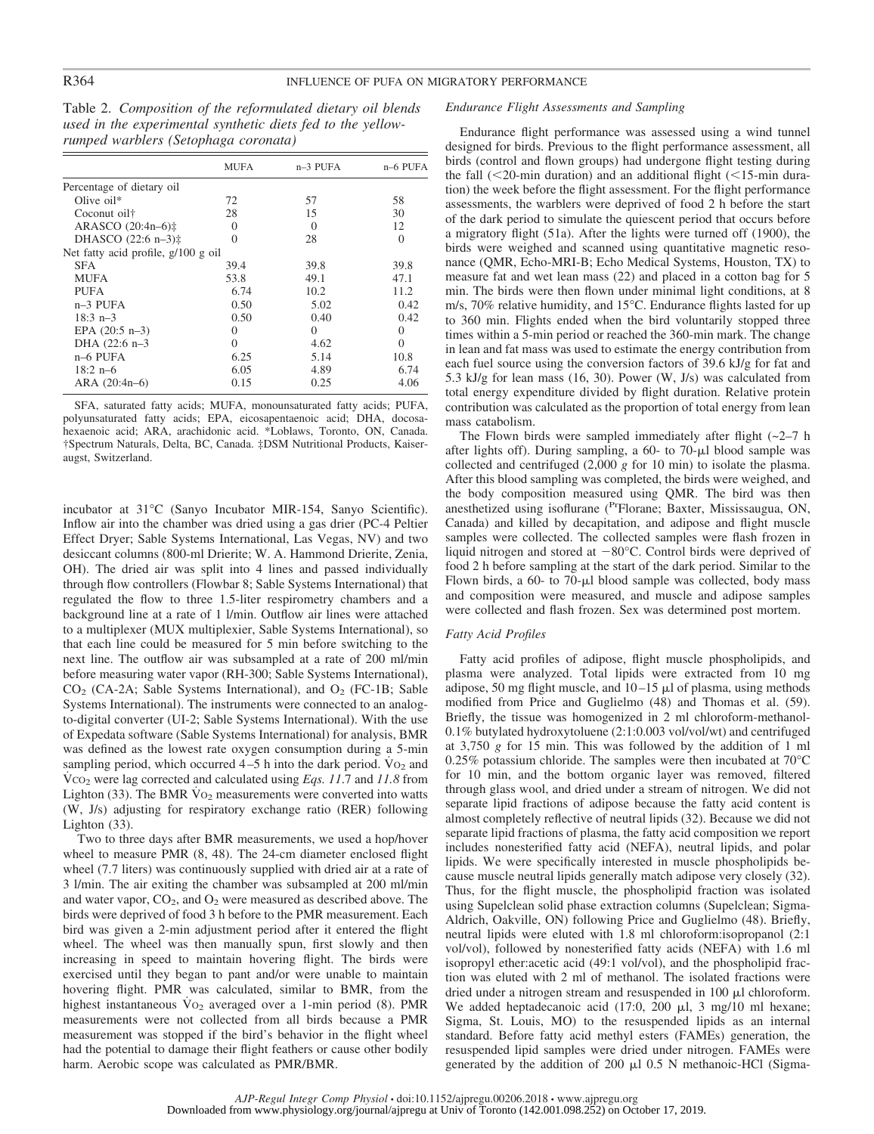Table 2. *Composition of the reformulated dietary oil blends used in the experimental synthetic diets fed to the yellowrumped warblers (Setophaga coronata)*

|                                       | <b>MUFA</b> | $n-3$ PUFA | n-6 PUFA |
|---------------------------------------|-------------|------------|----------|
| Percentage of dietary oil             |             |            |          |
| Olive $oil*$                          | 72          | 57         | 58       |
| Coconut oil†                          | 28          | 15         | 30       |
| ARASCO $(20:4n-6)$ #                  | $\Omega$    | $\Omega$   | 12       |
| DHASCO $(22:6 n-3)$ #                 | $\Omega$    | 28         | $\Omega$ |
| Net fatty acid profile, $g/100 g$ oil |             |            |          |
| <b>SFA</b>                            | 39.4        | 39.8       | 39.8     |
| <b>MUFA</b>                           | 53.8        | 49.1       | 47.1     |
| PUFA                                  | 6.74        | 10.2       | 11.2     |
| $n-3$ PUFA                            | 0.50        | 5.02       | 0.42     |
| $18:3$ n-3                            | 0.50        | 0.40       | 0.42     |
| EPA $(20:5 n-3)$                      | $\Omega$    | $\Omega$   | $\Omega$ |
| DHA (22:6 n-3                         | $\Omega$    | 4.62       | $\Omega$ |
| $n-6$ PUFA                            | 6.25        | 5.14       | 10.8     |
| $18:2$ n-6                            | 6.05        | 4.89       | 6.74     |
| ARA $(20:4n-6)$                       | 0.15        | 0.25       | 4.06     |

SFA, saturated fatty acids; MUFA, monounsaturated fatty acids; PUFA, polyunsaturated fatty acids; EPA, eicosapentaenoic acid; DHA, docosahexaenoic acid; ARA, arachidonic acid. \*Loblaws, Toronto, ON, Canada. †Spectrum Naturals, Delta, BC, Canada. ‡DSM Nutritional Products, Kaiseraugst, Switzerland.

incubator at 31**°**C (Sanyo Incubator MIR-154, Sanyo Scientific). Inflow air into the chamber was dried using a gas drier (PC-4 Peltier Effect Dryer; Sable Systems International, Las Vegas, NV) and two desiccant columns (800-ml Drierite; W. A. Hammond Drierite, Zenia, OH). The dried air was split into 4 lines and passed individually through flow controllers (Flowbar 8; Sable Systems International) that regulated the flow to three 1.5-liter respirometry chambers and a background line at a rate of 1 l/min. Outflow air lines were attached to a multiplexer (MUX multiplexier, Sable Systems International), so that each line could be measured for 5 min before switching to the next line. The outflow air was subsampled at a rate of 200 ml/min before measuring water vapor (RH-300; Sable Systems International),  $CO<sub>2</sub>$  (CA-2A; Sable Systems International), and  $O<sub>2</sub>$  (FC-1B; Sable Systems International). The instruments were connected to an analogto-digital converter (UI-2; Sable Systems International). With the use of Expedata software (Sable Systems International) for analysis, BMR was defined as the lowest rate oxygen consumption during a 5-min sampling period, which occurred  $4-5$  h into the dark period. Vo<sub>2</sub> and V˙ CO2 were lag corrected and calculated using *Eqs. 11*.7 and *11.8* from Lighton (33). The BMR  $\overline{V}o_2$  measurements were converted into watts (W, J/s) adjusting for respiratory exchange ratio (RER) following Lighton (33).

Two to three days after BMR measurements, we used a hop/hover wheel to measure PMR (8, 48). The 24-cm diameter enclosed flight wheel (7.7 liters) was continuously supplied with dried air at a rate of 3 l/min. The air exiting the chamber was subsampled at 200 ml/min and water vapor,  $CO<sub>2</sub>$ , and  $O<sub>2</sub>$  were measured as described above. The birds were deprived of food 3 h before to the PMR measurement. Each bird was given a 2-min adjustment period after it entered the flight wheel. The wheel was then manually spun, first slowly and then increasing in speed to maintain hovering flight. The birds were exercised until they began to pant and/or were unable to maintain hovering flight. PMR was calculated, similar to BMR, from the highest instantaneous  $\overline{V}o_2$  averaged over a 1-min period (8). PMR measurements were not collected from all birds because a PMR measurement was stopped if the bird's behavior in the flight wheel had the potential to damage their flight feathers or cause other bodily harm. Aerobic scope was calculated as PMR/BMR.

#### *Endurance Flight Assessments and Sampling*

Endurance flight performance was assessed using a wind tunnel designed for birds. Previous to the flight performance assessment, all birds (control and flown groups) had undergone flight testing during the fall  $(<20$ -min duration) and an additional flight  $(<15$ -min duration) the week before the flight assessment. For the flight performance assessments, the warblers were deprived of food 2 h before the start of the dark period to simulate the quiescent period that occurs before a migratory flight (51a). After the lights were turned off (1900), the birds were weighed and scanned using quantitative magnetic resonance (QMR, Echo-MRI-B; Echo Medical Systems, Houston, TX) to measure fat and wet lean mass (22) and placed in a cotton bag for 5 min. The birds were then flown under minimal light conditions, at 8 m/s, 70% relative humidity, and 15**°**C. Endurance flights lasted for up to 360 min. Flights ended when the bird voluntarily stopped three times within a 5-min period or reached the 360-min mark. The change in lean and fat mass was used to estimate the energy contribution from each fuel source using the conversion factors of 39.6 kJ/g for fat and 5.3 kJ/g for lean mass (16, 30). Power (W, J/s) was calculated from total energy expenditure divided by flight duration. Relative protein contribution was calculated as the proportion of total energy from lean mass catabolism.

The Flown birds were sampled immediately after flight  $(-2-7)$  h after lights off). During sampling, a  $60-$  to  $70 \mu$ l blood sample was collected and centrifuged (2,000 *g* for 10 min) to isolate the plasma. After this blood sampling was completed, the birds were weighed, and the body composition measured using QMR. The bird was then anesthetized using isoflurane (PrFlorane; Baxter, Mississaugua, ON, Canada) and killed by decapitation, and adipose and flight muscle samples were collected. The collected samples were flash frozen in liquid nitrogen and stored at  $-80^{\circ}$ C. Control birds were deprived of food 2 h before sampling at the start of the dark period. Similar to the Flown birds, a 60- to 70- $\mu$ l blood sample was collected, body mass and composition were measured, and muscle and adipose samples were collected and flash frozen. Sex was determined post mortem.

#### *Fatty Acid Profiles*

Fatty acid profiles of adipose, flight muscle phospholipids, and plasma were analyzed. Total lipids were extracted from 10 mg adipose, 50 mg flight muscle, and  $10-15 \mu$ l of plasma, using methods modified from Price and Guglielmo (48) and Thomas et al. (59). Briefly, the tissue was homogenized in 2 ml chloroform-methanol-0.1% butylated hydroxytoluene (2:1:0.003 vol/vol/wt) and centrifuged at 3,750 *g* for 15 min. This was followed by the addition of 1 ml 0.25% potassium chloride. The samples were then incubated at 70°C for 10 min, and the bottom organic layer was removed, filtered through glass wool, and dried under a stream of nitrogen. We did not separate lipid fractions of adipose because the fatty acid content is almost completely reflective of neutral lipids (32). Because we did not separate lipid fractions of plasma, the fatty acid composition we report includes nonesterified fatty acid (NEFA), neutral lipids, and polar lipids. We were specifically interested in muscle phospholipids because muscle neutral lipids generally match adipose very closely (32). Thus, for the flight muscle, the phospholipid fraction was isolated using Supelclean solid phase extraction columns (Supelclean; Sigma-Aldrich, Oakville, ON) following Price and Guglielmo (48). Briefly, neutral lipids were eluted with 1.8 ml chloroform:isopropanol (2:1 vol/vol), followed by nonesterified fatty acids (NEFA) with 1.6 ml isopropyl ether:acetic acid (49:1 vol/vol), and the phospholipid fraction was eluted with 2 ml of methanol. The isolated fractions were dried under a nitrogen stream and resuspended in  $100 \mu l$  chloroform. We added heptadecanoic acid  $(17:0, 200 \mu l, 3 \mu l)$  ml hexane; Sigma, St. Louis, MO) to the resuspended lipids as an internal standard. Before fatty acid methyl esters (FAMEs) generation, the resuspended lipid samples were dried under nitrogen. FAMEs were generated by the addition of 200  $\mu$ 1 0.5 N methanoic-HCl (Sigma-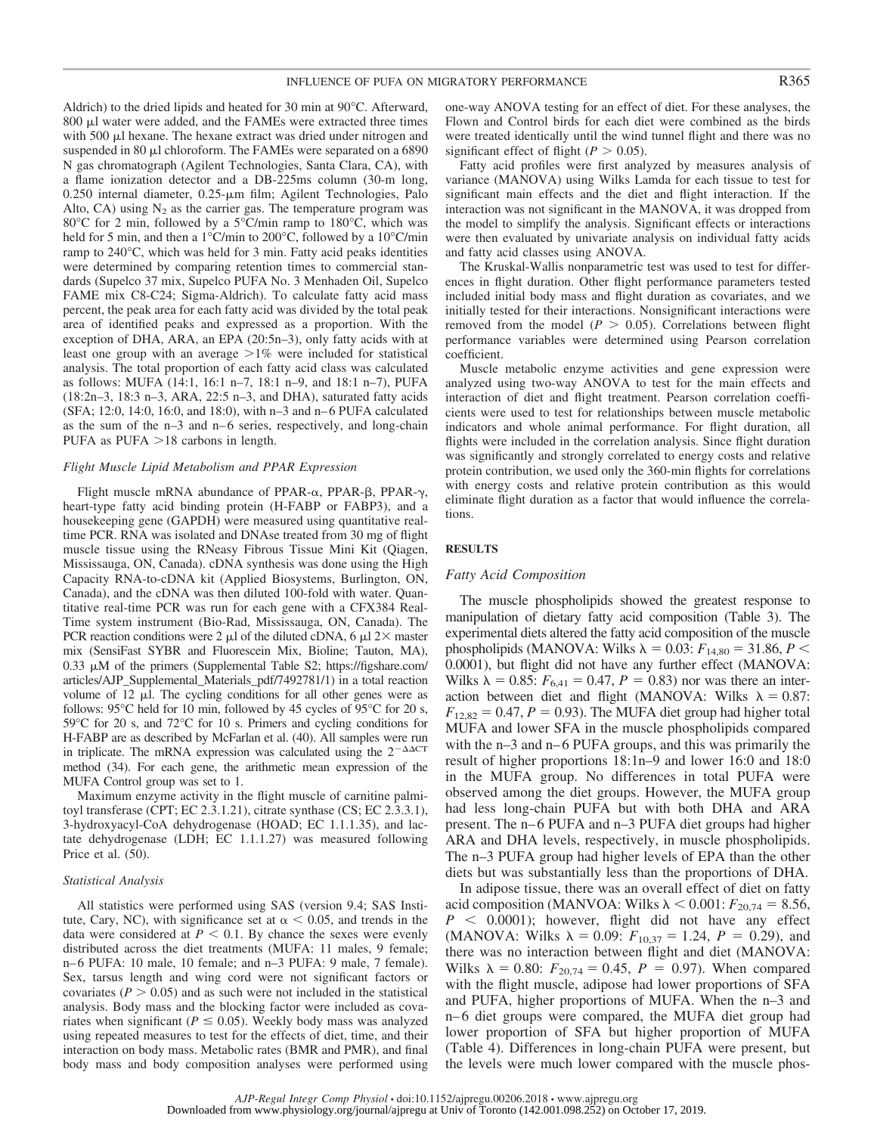Aldrich) to the dried lipids and heated for 30 min at 90**°**C. Afterward, 800 µl water were added, and the FAMEs were extracted three times with 500 µl hexane. The hexane extract was dried under nitrogen and suspended in 80  $\mu$ l chloroform. The FAMEs were separated on a 6890 N gas chromatograph (Agilent Technologies, Santa Clara, CA), with a flame ionization detector and a DB-225ms column (30-m long, 0.250 internal diameter, 0.25-µm film; Agilent Technologies, Palo Alto, CA) using  $N_2$  as the carrier gas. The temperature program was 80**°**C for 2 min, followed by a 5**°**C/min ramp to 180**°**C, which was held for 5 min, and then a 1**°**C/min to 200**°**C, followed by a 10**°**C/min ramp to 240**°**C, which was held for 3 min. Fatty acid peaks identities were determined by comparing retention times to commercial standards (Supelco 37 mix, Supelco PUFA No. 3 Menhaden Oil, Supelco FAME mix C8-C24; Sigma-Aldrich). To calculate fatty acid mass percent, the peak area for each fatty acid was divided by the total peak area of identified peaks and expressed as a proportion. With the exception of DHA, ARA, an EPA (20:5n–3), only fatty acids with at least one group with an average  $>1\%$  were included for statistical analysis. The total proportion of each fatty acid class was calculated as follows: MUFA (14:1, 16:1 n–7, 18:1 n–9, and 18:1 n–7), PUFA (18:2n–3, 18:3 n–3, ARA, 22:5 n–3, and DHA), saturated fatty acids (SFA; 12:0, 14:0, 16:0, and 18:0), with n–3 and n– 6 PUFA calculated as the sum of the n–3 and n– 6 series, respectively, and long-chain PUFA as PUFA  $>18$  carbons in length.

#### *Flight Muscle Lipid Metabolism and PPAR Expression*

Flight muscle mRNA abundance of PPAR- $\alpha$ , PPAR- $\beta$ , PPAR- $\gamma$ , heart-type fatty acid binding protein (H-FABP or FABP3), and a housekeeping gene (GAPDH) were measured using quantitative realtime PCR. RNA was isolated and DNAse treated from 30 mg of flight muscle tissue using the RNeasy Fibrous Tissue Mini Kit (Qiagen, Mississauga, ON, Canada). cDNA synthesis was done using the High Capacity RNA-to-cDNA kit (Applied Biosystems, Burlington, ON, Canada), and the cDNA was then diluted 100-fold with water. Quantitative real-time PCR was run for each gene with a CFX384 Real-Time system instrument (Bio-Rad, Mississauga, ON, Canada). The PCR reaction conditions were 2  $\mu$ l of the diluted cDNA, 6  $\mu$ l 2 $\times$  master mix (SensiFast SYBR and Fluorescein Mix, Bioline; Tauton, MA), 0.33  $\mu$ M of the primers (Supplemental Table S2; [https://figshare.com/](https://figshare.com/articles/AJP_Supplemental_Materials_pdf/7492781/1) [articles/AJP\\_Supplemental\\_Materials\\_pdf/7492781/1\)](https://figshare.com/articles/AJP_Supplemental_Materials_pdf/7492781/1) in a total reaction volume of  $12 \mu l$ . The cycling conditions for all other genes were as follows: 95**°**C held for 10 min, followed by 45 cycles of 95°C for 20 s, 59°C for 20 s, and 72°C for 10 s. Primers and cycling conditions for H-FABP are as described by McFarlan et al. (40). All samples were run in triplicate. The mRNA expression was calculated using the  $2^{-\Delta\Delta CT}$ method (34). For each gene, the arithmetic mean expression of the MUFA Control group was set to 1.

Maximum enzyme activity in the flight muscle of carnitine palmitoyl transferase (CPT; EC 2.3.1.21), citrate synthase (CS; EC 2.3.3.1), 3-hydroxyacyl-CoA dehydrogenase (HOAD; EC 1.1.1.35), and lactate dehydrogenase (LDH; EC 1.1.1.27) was measured following Price et al. (50).

#### *Statistical Analysis*

All statistics were performed using SAS (version 9.4; SAS Institute, Cary, NC), with significance set at  $\alpha$  < 0.05, and trends in the data were considered at  $P < 0.1$ . By chance the sexes were evenly distributed across the diet treatments (MUFA: 11 males, 9 female; n– 6 PUFA: 10 male, 10 female; and n–3 PUFA: 9 male, 7 female). Sex, tarsus length and wing cord were not significant factors or covariates ( $P > 0.05$ ) and as such were not included in the statistical analysis. Body mass and the blocking factor were included as covariates when significant ( $P \leq 0.05$ ). Weekly body mass was analyzed using repeated measures to test for the effects of diet, time, and their interaction on body mass. Metabolic rates (BMR and PMR), and final body mass and body composition analyses were performed using

one-way ANOVA testing for an effect of diet. For these analyses, the Flown and Control birds for each diet were combined as the birds were treated identically until the wind tunnel flight and there was no significant effect of flight ( $P > 0.05$ ).

Fatty acid profiles were first analyzed by measures analysis of variance (MANOVA) using Wilks Lamda for each tissue to test for significant main effects and the diet and flight interaction. If the interaction was not significant in the MANOVA, it was dropped from the model to simplify the analysis. Significant effects or interactions were then evaluated by univariate analysis on individual fatty acids and fatty acid classes using ANOVA.

The Kruskal-Wallis nonparametric test was used to test for differences in flight duration. Other flight performance parameters tested included initial body mass and flight duration as covariates, and we initially tested for their interactions. Nonsignificant interactions were removed from the model ( $P > 0.05$ ). Correlations between flight performance variables were determined using Pearson correlation coefficient.

Muscle metabolic enzyme activities and gene expression were analyzed using two-way ANOVA to test for the main effects and interaction of diet and flight treatment. Pearson correlation coefficients were used to test for relationships between muscle metabolic indicators and whole animal performance. For flight duration, all flights were included in the correlation analysis. Since flight duration was significantly and strongly correlated to energy costs and relative protein contribution, we used only the 360-min flights for correlations with energy costs and relative protein contribution as this would eliminate flight duration as a factor that would influence the correlations.

#### **RESULTS**

#### *Fatty Acid Composition*

The muscle phospholipids showed the greatest response to manipulation of dietary fatty acid composition (Table 3). The experimental diets altered the fatty acid composition of the muscle phospholipids (MANOVA: Wilks  $\lambda = 0.03$ :  $F_{14,80} = 31.86$ ,  $P \leq$ 0.0001), but flight did not have any further effect (MANOVA: Wilks  $\lambda = 0.85$ :  $F_{6,41} = 0.47$ ,  $P = 0.83$ ) nor was there an interaction between diet and flight (MANOVA: Wilks  $\lambda = 0.87$ :  $F_{12,82} = 0.47$ ,  $P = 0.93$ ). The MUFA diet group had higher total MUFA and lower SFA in the muscle phospholipids compared with the  $n-3$  and  $n-6$  PUFA groups, and this was primarily the result of higher proportions 18:1n–9 and lower 16:0 and 18:0 in the MUFA group. No differences in total PUFA were observed among the diet groups. However, the MUFA group had less long-chain PUFA but with both DHA and ARA present. The n– 6 PUFA and n–3 PUFA diet groups had higher ARA and DHA levels, respectively, in muscle phospholipids. The n–3 PUFA group had higher levels of EPA than the other diets but was substantially less than the proportions of DHA.

In adipose tissue, there was an overall effect of diet on fatty acid composition (MANVOA: Wilks  $\lambda$  < 0.001:  $F_{20,74} = 8.56$ ,  $P \leq 0.0001$ ; however, flight did not have any effect (MANOVA: Wilks  $\lambda = 0.09$ :  $F_{10,37} = 1.24$ ,  $P = 0.29$ ), and there was no interaction between flight and diet (MANOVA: Wilks  $\lambda = 0.80$ :  $F_{20,74} = 0.45$ ,  $P = 0.97$ ). When compared with the flight muscle, adipose had lower proportions of SFA and PUFA, higher proportions of MUFA. When the n–3 and n– 6 diet groups were compared, the MUFA diet group had lower proportion of SFA but higher proportion of MUFA (Table 4). Differences in long-chain PUFA were present, but the levels were much lower compared with the muscle phos-

*AJP-Regul Integr Comp Physiol* • doi:10.1152/ajpregu.00206.2018 • www.ajpregu.org Downloaded from www.physiology.org/journal/ajpregu at Univ of Toronto (142.001.098.252) on October 17, 2019.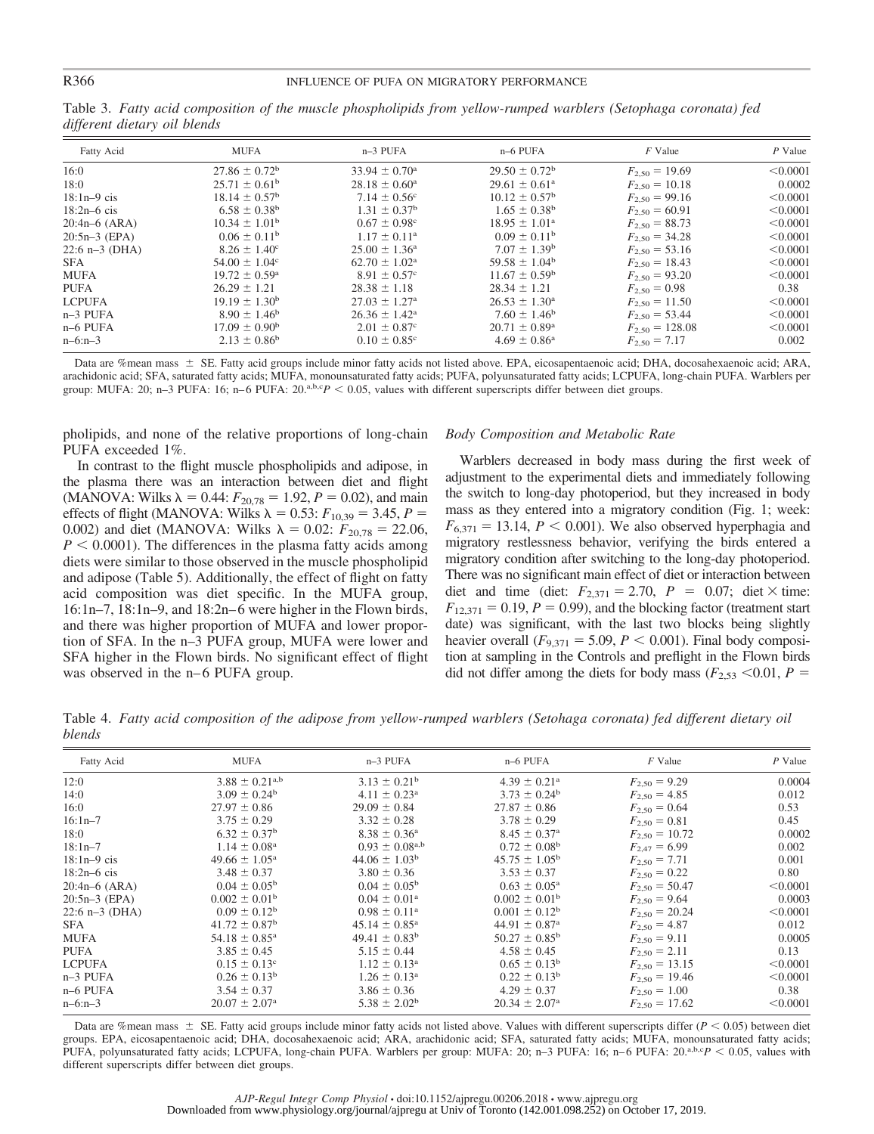| Fatty Acid       | <b>MUFA</b>              | $n-3$ PUFA                   | n-6 PUFA                 | $F$ Value           | $P$ Value |
|------------------|--------------------------|------------------------------|--------------------------|---------------------|-----------|
| 16:0             | $27.86 \pm 0.72^b$       | $33.94 \pm 0.70^{\circ}$     | $29.50 \pm 0.72^b$       | $F_{2,50} = 19.69$  | < 0.0001  |
| 18:0             | $25.71 \pm 0.61^{\rm b}$ | $28.18 \pm 0.60^{\circ}$     | $29.61 \pm 0.61^{\circ}$ | $F_{2,50} = 10.18$  | 0.0002    |
| $18:1n-9$ cis    | $18.14 \pm 0.57^{\rm b}$ | $7.14 \pm 0.56^{\circ}$      | $10.12 \pm 0.57^{\rm b}$ | $F_{2,50} = 99.16$  | < 0.0001  |
| $18:2n-6$ cis    | $6.58 \pm 0.38^{\rm b}$  | $1.31 \pm 0.37^{\rm b}$      | $1.65 \pm 0.38^{\rm b}$  | $F_{2,50} = 60.91$  | < 0.0001  |
| $20:4n-6$ (ARA)  | $10.34 \pm 1.01^{\rm b}$ | $0.67 \pm 0.98^{\circ}$      | $18.95 \pm 1.01^{\circ}$ | $F_{2,50} = 88.73$  | < 0.0001  |
| $20:5n-3$ (EPA)  | $0.06 \pm 0.11^b$        | $1.17 \pm 0.11^{\rm a}$      | $0.09 \pm 0.11^{\rm b}$  | $F_{2,50} = 34.28$  | < 0.0001  |
| $22:6$ n-3 (DHA) | $8.26 \pm 1.40^{\circ}$  | $25.00 \pm 1.36^{\circ}$     | $7.07 \pm 1.39^{\rm b}$  | $F_{2,50} = 53.16$  | < 0.0001  |
| <b>SFA</b>       | $54.00 \pm 1.04^{\circ}$ | $62.70 \pm 1.02^{\text{a}}$  | $59.58 \pm 1.04^b$       | $F_{2,50} = 18.43$  | < 0.0001  |
| <b>MUFA</b>      | $19.72 \pm 0.59^{\circ}$ | $8.91 \pm 0.57$ <sup>c</sup> | $11.67 \pm 0.59^{\rm b}$ | $F_{2,50} = 93.20$  | < 0.0001  |
| <b>PUFA</b>      | $26.29 \pm 1.21$         | $28.38 \pm 1.18$             | $28.34 \pm 1.21$         | $F_{2.50} = 0.98$   | 0.38      |
| <b>LCPUFA</b>    | $19.19 \pm 1.30^{\rm b}$ | $27.03 \pm 1.27^{\circ}$     | $26.53 \pm 1.30^{\circ}$ | $F_{2,50} = 11.50$  | < 0.0001  |
| $n-3$ PUFA       | $8.90 \pm 1.46^b$        | $26.36 \pm 1.42^{\rm a}$     | $7.60 \pm 1.46^b$        | $F_{2,50} = 53.44$  | < 0.0001  |
| $n-6$ PUFA       | $17.09 \pm 0.90^{\rm b}$ | $2.01 \pm 0.87$ <sup>c</sup> | $20.71 \pm 0.89^{\rm a}$ | $F_{2,50} = 128.08$ | < 0.0001  |
| $n-6: n-3$       | $2.13 \pm 0.86^b$        | $0.10 \pm 0.85$ <sup>c</sup> | $4.69 \pm 0.86^{\circ}$  | $F_{2.50} = 7.17$   | 0.002     |
|                  |                          |                              |                          |                     |           |

Table 3. *Fatty acid composition of the muscle phospholipids from yellow-rumped warblers (Setophaga coronata) fed different dietary oil blends*

Data are %mean mass  $\pm$  SE. Fatty acid groups include minor fatty acids not listed above. EPA, eicosapentaenoic acid; DHA, docosahexaenoic acid; ARA, arachidonic acid; SFA, saturated fatty acids; MUFA, monounsaturated fatty acids; PUFA, polyunsaturated fatty acids; LCPUFA, long-chain PUFA. Warblers per group: MUFA: 20; n-3 PUFA: 16; n-6 PUFA: 20.<sup>a,b,c</sup> $P$  < 0.05, values with different superscripts differ between diet groups.

pholipids, and none of the relative proportions of long-chain PUFA exceeded 1%.

In contrast to the flight muscle phospholipids and adipose, in the plasma there was an interaction between diet and flight (MANOVA: Wilks  $\lambda = 0.44$ :  $F_{20.78} = 1.92$ ,  $P = 0.02$ ), and main effects of flight (MANOVA: Wilks  $\lambda = 0.53$ :  $F_{10,39} = 3.45$ ,  $P =$ 0.002) and diet (MANOVA: Wilks  $\lambda = 0.02$ :  $F_{20,78} = 22.06$ ,  $P < 0.0001$ ). The differences in the plasma fatty acids among diets were similar to those observed in the muscle phospholipid and adipose (Table 5). Additionally, the effect of flight on fatty acid composition was diet specific. In the MUFA group, 16:1n–7, 18:1n–9, and 18:2n– 6 were higher in the Flown birds, and there was higher proportion of MUFA and lower proportion of SFA. In the n–3 PUFA group, MUFA were lower and SFA higher in the Flown birds. No significant effect of flight was observed in the n–6 PUFA group.

# *Body Composition and Metabolic Rate*

Warblers decreased in body mass during the first week of adjustment to the experimental diets and immediately following the switch to long-day photoperiod, but they increased in body mass as they entered into a migratory condition (Fig. 1; week:  $F_{6,371} = 13.14$ ,  $P < 0.001$ ). We also observed hyperphagia and migratory restlessness behavior, verifying the birds entered a migratory condition after switching to the long-day photoperiod. There was no significant main effect of diet or interaction between diet and time (diet:  $F_{2,371} = 2.70$ ,  $P = 0.07$ ; diet  $\times$  time:  $F_{12,371} = 0.19, P = 0.99$ ), and the blocking factor (treatment start date) was significant, with the last two blocks being slightly heavier overall  $(F_{9,371} = 5.09, P \le 0.001)$ . Final body composition at sampling in the Controls and preflight in the Flown birds did not differ among the diets for body mass ( $F_{2,53}$  <0.01,  $P =$ 

Table 4. *Fatty acid composition of the adipose from yellow-rumped warblers (Setohaga coronata) fed different dietary oil blends*

| Fatty Acid       | <b>MUFA</b>                | n-3 PUFA                 | n-6 PUFA                      | $F$ Value          | P Value  |
|------------------|----------------------------|--------------------------|-------------------------------|--------------------|----------|
| 12:0             | $3.88 \pm 0.21^{a,b}$      | $3.13 \pm 0.21^{\rm b}$  | $4.39 \pm 0.21^{\rm a}$       | $F_{2,50} = 9.29$  | 0.0004   |
| 14:0             | $3.09 \pm 0.24^b$          | $4.11 \pm 0.23^{\rm a}$  | $3.73 \pm 0.24^b$             | $F_{2.50} = 4.85$  | 0.012    |
| 16:0             | $27.97 \pm 0.86$           | $29.09 \pm 0.84$         | $27.87 \pm 0.86$              | $F_{2.50} = 0.64$  | 0.53     |
| $16:1n-7$        | $3.75 \pm 0.29$            | $3.32 \pm 0.28$          | $3.78 \pm 0.29$               | $F_{2.50} = 0.81$  | 0.45     |
| 18:0             | $6.32 \pm 0.37^{\rm b}$    | $8.38 \pm 0.36^{\circ}$  | $8.45 \pm 0.37$ <sup>a</sup>  | $F_{2,50} = 10.72$ | 0.0002   |
| $18:1n-7$        | $1.14 \pm 0.08^{\text{a}}$ | $0.93 \pm 0.08^{a,b}$    | $0.72 \pm 0.08^{\rm b}$       | $F_{2,47} = 6.99$  | 0.002    |
| $18:1n-9$ cis    | $49.66 \pm 1.05^{\circ}$   | $44.06 \pm 1.03^b$       | $45.75 \pm 1.05^{\rm b}$      | $F_{2,50} = 7.71$  | 0.001    |
| $18:2n-6$ cis    | $3.48 \pm 0.37$            | $3.80 \pm 0.36$          | $3.53 \pm 0.37$               | $F_{2.50} = 0.22$  | 0.80     |
| $20:4n-6$ (ARA)  | $0.04 \pm 0.05^{\rm b}$    | $0.04 \pm 0.05^{\rm b}$  | $0.63 \pm 0.05^{\rm a}$       | $F_{2,50} = 50.47$ | < 0.0001 |
| $20:5n-3$ (EPA)  | $0.002 \pm 0.01^{\rm b}$   | $0.04 \pm 0.01^{\rm a}$  | $0.002 \pm 0.01^{\rm b}$      | $F_{2,50} = 9.64$  | 0.0003   |
| $22:6$ n-3 (DHA) | $0.09 \pm 0.12^b$          | $0.98 \pm 0.11^{\circ}$  | $0.001 \pm 0.12^b$            | $F_{2,50} = 20.24$ | < 0.0001 |
| <b>SFA</b>       | $41.72 \pm 0.87^{\circ}$   | $45.14 \pm 0.85^{\circ}$ | $44.91 \pm 0.87$ <sup>a</sup> | $F_{2,50} = 4.87$  | 0.012    |
| MUFA             | $54.18 \pm 0.85^{\circ}$   | $49.41 \pm 0.83^{\rm b}$ | $50.27 \pm 0.85^{\rm b}$      | $F_{2,50} = 9.11$  | 0.0005   |
| <b>PUFA</b>      | $3.85 \pm 0.45$            | $5.15 \pm 0.44$          | $4.58 \pm 0.45$               | $F_{2,50} = 2.11$  | 0.13     |
| <b>LCPUFA</b>    | $0.15 \pm 0.13^{\circ}$    | $1.12 \pm 0.13^{\rm a}$  | $0.65 \pm 0.13^{\rm b}$       | $F_{2,50} = 13.15$ | < 0.0001 |
| $n-3$ PUFA       | $0.26 \pm 0.13^b$          | $1.26 \pm 0.13^{\rm a}$  | $0.22 \pm 0.13^{\rm b}$       | $F_{2,50} = 19.46$ | < 0.0001 |
| n-6 PUFA         | $3.54 \pm 0.37$            | $3.86 \pm 0.36$          | $4.29 \pm 0.37$               | $F_{2.50} = 1.00$  | 0.38     |
| $n-6:n-3$        | $20.07 \pm 2.07^{\rm a}$   | $5.38 \pm 2.02^{\rm b}$  | $20.34 \pm 2.07^{\rm a}$      | $F_{2,50} = 17.62$ | < 0.0001 |

Data are %mean mass  $\pm$  SE. Fatty acid groups include minor fatty acids not listed above. Values with different superscripts differ (*P* < 0.05) between diet groups. EPA, eicosapentaenoic acid; DHA, docosahexaenoic acid; ARA, arachidonic acid; SFA, saturated fatty acids; MUFA, monounsaturated fatty acids; PUFA, polyunsaturated fatty acids; LCPUFA, long-chain PUFA. Warblers per group: MUFA: 20; n-3 PUFA: 16; n-6 PUFA: 20.<sup>a,b,c</sup>P < 0.05, values with different superscripts differ between diet groups.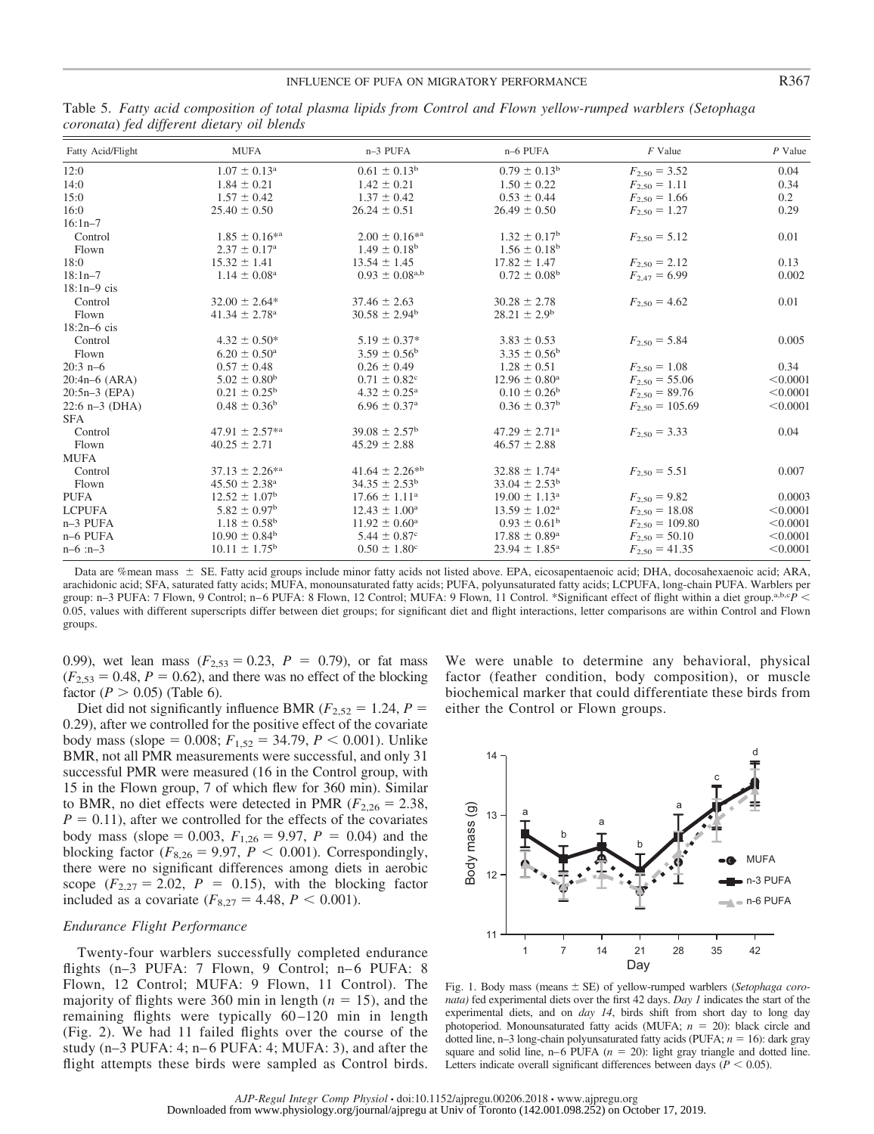| Fatty Acid/Flight | <b>MUFA</b>                  | n-3 PUFA                     | n-6 PUFA                      | $F$ Value           | $P$ Value |
|-------------------|------------------------------|------------------------------|-------------------------------|---------------------|-----------|
| 12:0              | $1.07 \pm 0.13^{\text{a}}$   | $0.61 \pm 0.13^b$            | $0.79 \pm 0.13^{\rm b}$       | $F_{2,50} = 3.52$   | 0.04      |
| 14:0              | $1.84 \pm 0.21$              | $1.42 \pm 0.21$              | $1.50 \pm 0.22$               | $F_{2.50} = 1.11$   | 0.34      |
| 15:0              | $1.57 \pm 0.42$              | $1.37 \pm 0.42$              | $0.53 \pm 0.44$               | $F_{2.50} = 1.66$   | 0.2       |
| 16:0              | $25.40 \pm 0.50$             | $26.24 \pm 0.51$             | $26.49 \pm 0.50$              | $F_{2.50} = 1.27$   | 0.29      |
| $16:1n - 7$       |                              |                              |                               |                     |           |
| Control           | $1.85 \pm 0.16^{*a}$         | $2.00 \pm 0.16^{*a}$         | $1.32 \pm 0.17^{\rm b}$       | $F_{2.50} = 5.12$   | 0.01      |
| Flown             | $2.37 \pm 0.17^{\rm a}$      | $1.49 \pm 0.18^{\rm b}$      | $1.56 \pm 0.18^{\rm b}$       |                     |           |
| 18:0              | $15.32 \pm 1.41$             | $13.54 \pm 1.45$             | $17.82 \pm 1.47$              | $F_{2,50} = 2.12$   | 0.13      |
| $18:1n - 7$       | $1.14 \pm 0.08^{\text{a}}$   | $0.93 \pm 0.08^{a,b}$        | $0.72 \pm 0.08^{\rm b}$       | $F_{2,47} = 6.99$   | 0.002     |
| $18:1n-9$ cis     |                              |                              |                               |                     |           |
| Control           | $32.00 \pm 2.64*$            | $37.46 \pm 2.63$             | $30.28 \pm 2.78$              | $F_{2.50} = 4.62$   | 0.01      |
| Flown             | $41.34 \pm 2.78^{\circ}$     | $30.58 \pm 2.94^b$           | $28.21 \pm 2.9^b$             |                     |           |
| $18:2n-6$ cis     |                              |                              |                               |                     |           |
| Control           | $4.32 \pm 0.50^*$            | $5.19 \pm 0.37*$             | $3.83 \pm 0.53$               | $F_{2,50} = 5.84$   | 0.005     |
| Flown             | $6.20 \pm 0.50^{\rm a}$      | $3.59 \pm 0.56^{\rm b}$      | $3.35 \pm 0.56^{\rm b}$       |                     |           |
| $20:3$ n-6        | $0.57 \pm 0.48$              | $0.26 \pm 0.49$              | $1.28 \pm 0.51$               | $F_{2,50} = 1.08$   | 0.34      |
| $20:4n-6$ (ARA)   | $5.02 \pm 0.80^{\rm b}$      | $0.71 \pm 0.82$ <sup>c</sup> | $12.96 \pm 0.80^{\text{a}}$   | $F_{2,50} = 55.06$  | < 0.0001  |
| $20:5n-3$ (EPA)   | $0.21 \pm 0.25^{\rm b}$      | $4.32 \pm 0.25^{\rm a}$      | $0.10 \pm 0.26^{\rm b}$       | $F_{2,50} = 89.76$  | < 0.0001  |
| $22:6 n-3$ (DHA)  | $0.48 \pm 0.36^b$            | $6.96 \pm 0.37$ <sup>a</sup> | $0.36 \pm 0.37^{\rm b}$       | $F_{2,50} = 105.69$ | < 0.0001  |
| <b>SFA</b>        |                              |                              |                               |                     |           |
| Control           | $47.91 \pm 2.57^{*a}$        | $39.08 \pm 2.57^{\rm b}$     | $47.29 \pm 2.71$ <sup>a</sup> | $F_{2,50} = 3.33$   | 0.04      |
| Flown             | $40.25 \pm 2.71$             | $45.29 \pm 2.88$             | $46.57 \pm 2.88$              |                     |           |
| <b>MUFA</b>       |                              |                              |                               |                     |           |
| Control           | $37.13 \pm 2.26^{*a}$        | $41.64 \pm 2.26^{*b}$        | $32.88 \pm 1.74$ <sup>a</sup> | $F_{2.50} = 5.51$   | 0.007     |
| Flown             | $45.50 \pm 2.38^{\rm a}$     | $34.35 \pm 2.53^{\rm b}$     | $33.04 \pm 2.53^{\rm b}$      |                     |           |
| <b>PUFA</b>       | $12.52 \pm 1.07^{\rm b}$     | $17.66 \pm 1.11^{\circ}$     | $19.00 \pm 1.13^{\circ}$      | $F_{2,50} = 9.82$   | 0.0003    |
| <b>LCPUFA</b>     | $5.82 \pm 0.97$ <sup>b</sup> | $12.43 \pm 1.00^{\circ}$     | $13.59 \pm 1.02^{\text{a}}$   | $F_{2,50} = 18.08$  | < 0.0001  |
| n-3 PUFA          | $1.18 \pm 0.58^{\rm b}$      | $11.92 \pm 0.60^{\circ}$     | $0.93 \pm 0.61^{\rm b}$       | $F_{2,50} = 109.80$ | < 0.0001  |
| $n-6$ PUFA        | $10.90 \pm 0.84^{\rm b}$     | $5.44 \pm 0.87$ °            | $17.88 \pm 0.89^{\rm a}$      | $F_{2,50} = 50.10$  | < 0.0001  |
| $n-6$ : $n-3$     | $10.11 \pm 1.75^{\rm b}$     | $0.50 \pm 1.80^{\circ}$      | $23.94 \pm 1.85^{\circ}$      | $F_{2,50} = 41.35$  | < 0.0001  |

Table 5. *Fatty acid composition of total plasma lipids from Control and Flown yellow-rumped warblers (Setophaga coronata*) *fed different dietary oil blends*

Data are %mean mass  $\pm$  SE. Fatty acid groups include minor fatty acids not listed above. EPA, eicosapentaenoic acid; DHA, docosahexaenoic acid; ARA, arachidonic acid; SFA, saturated fatty acids; MUFA, monounsaturated fatty acids; PUFA, polyunsaturated fatty acids; LCPUFA, long-chain PUFA. Warblers per group: n–3 PUFA: 7 Flown, 9 Control; n–6 PUFA: 8 Flown, 12 Control; MUFA: 9 Flown, 11 Control. \*Significant effect of flight within a diet group.a,b,c<sub>*P*</sub> < 0.05, values with different superscripts differ between diet groups; for significant diet and flight interactions, letter comparisons are within Control and Flown groups.

0.99), wet lean mass  $(F_{2,53} = 0.23, P = 0.79)$ , or fat mass  $(F<sub>2.53</sub> = 0.48, P = 0.62)$ , and there was no effect of the blocking factor  $(P > 0.05)$  (Table 6).

Diet did not significantly influence BMR ( $F_{2,52} = 1.24$ ,  $P =$ 0.29), after we controlled for the positive effect of the covariate body mass (slope = 0.008;  $F_{1,52} = 34.79$ ,  $P < 0.001$ ). Unlike BMR, not all PMR measurements were successful, and only 31 successful PMR were measured (16 in the Control group, with 15 in the Flown group, 7 of which flew for 360 min). Similar to BMR, no diet effects were detected in PMR  $(F_{2,26} = 2.38,$  $P = 0.11$ , after we controlled for the effects of the covariates body mass (slope = 0.003,  $F_{1,26} = 9.97$ ,  $P = 0.04$ ) and the blocking factor ( $F_{8,26} = 9.97$ ,  $P < 0.001$ ). Correspondingly, there were no significant differences among diets in aerobic scope  $(F_{2,27} = 2.02, P = 0.15)$ , with the blocking factor included as a covariate  $(F_{8,27} = 4.48, P \le 0.001)$ .

# *Endurance Flight Performance*

Twenty-four warblers successfully completed endurance flights (n-3 PUFA: 7 Flown, 9 Control; n-6 PUFA: 8 Flown, 12 Control; MUFA: 9 Flown, 11 Control). The majority of flights were 360 min in length  $(n = 15)$ , and the remaining flights were typically 60-120 min in length (Fig. 2). We had 11 failed flights over the course of the study (n–3 PUFA: 4; n– 6 PUFA: 4; MUFA: 3), and after the flight attempts these birds were sampled as Control birds.

We were unable to determine any behavioral, physical factor (feather condition, body composition), or muscle biochemical marker that could differentiate these birds from either the Control or Flown groups.



Fig. 1. Body mass (means  $\pm$  SE) of yellow-rumped warblers (*Setophaga coronata)* fed experimental diets over the first 42 days. *Day 1* indicates the start of the experimental diets, and on *day 14*, birds shift from short day to long day photoperiod. Monounsaturated fatty acids (MUFA;  $n = 20$ ): black circle and dotted line,  $n-3$  long-chain polyunsaturated fatty acids (PUFA;  $n = 16$ ): dark gray square and solid line,  $n-6$  PUFA ( $n = 20$ ): light gray triangle and dotted line. Letters indicate overall significant differences between days ( $P < 0.05$ ).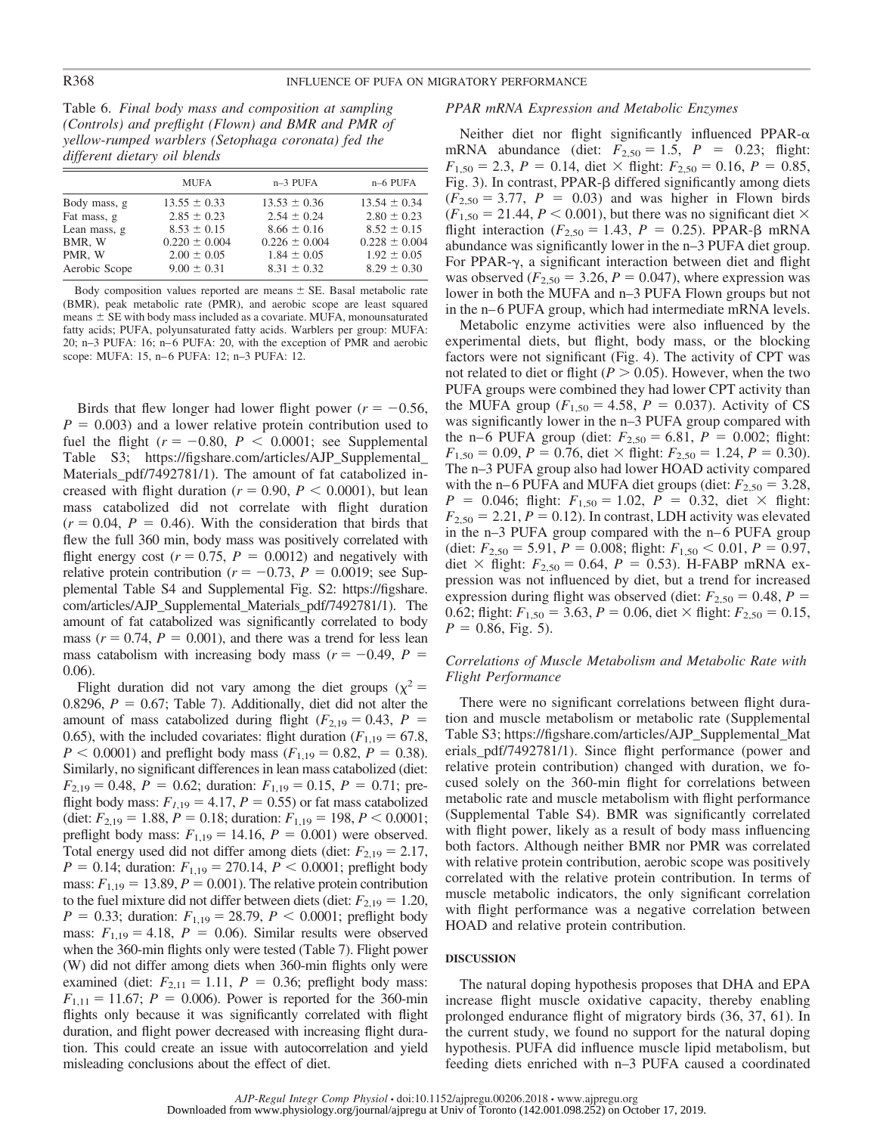Table 6. *Final body mass and composition at sampling (Controls) and preflight (Flown) and BMR and PMR of yellow-rumped warblers (Setophaga coronata) fed the different dietary oil blends*

|               | <b>MUFA</b>       | n-3 PUFA          | $n-6$ PUFA        |
|---------------|-------------------|-------------------|-------------------|
| Body mass, g  | $13.55 \pm 0.33$  | $13.53 \pm 0.36$  | $13.54 \pm 0.34$  |
| Fat mass, g   | $2.85 \pm 0.23$   | $2.54 \pm 0.24$   | $2.80 \pm 0.23$   |
| Lean mass, g  | $8.53 \pm 0.15$   | $8.66 \pm 0.16$   | $8.52 \pm 0.15$   |
| BMR, W        | $0.220 \pm 0.004$ | $0.226 \pm 0.004$ | $0.228 \pm 0.004$ |
| PMR. W        | $2.00 \pm 0.05$   | $1.84 \pm 0.05$   | $1.92 \pm 0.05$   |
| Aerobic Scope | $9.00 \pm 0.31$   | $8.31 \pm 0.32$   | $8.29 \pm 0.30$   |

Body composition values reported are means  $\pm$  SE. Basal metabolic rate (BMR), peak metabolic rate (PMR), and aerobic scope are least squared  $means \pm SE$  with body mass included as a covariate. MUFA, monounsaturated fatty acids; PUFA, polyunsaturated fatty acids. Warblers per group: MUFA: 20; n–3 PUFA: 16; n– 6 PUFA: 20, with the exception of PMR and aerobic scope: MUFA: 15, n–6 PUFA: 12; n–3 PUFA: 12.

Birds that flew longer had lower flight power  $(r = -0.56,$  $P = 0.003$ ) and a lower relative protein contribution used to fuel the flight  $(r = -0.80, P < 0.0001$ ; see Supplemental Table S3; [https://figshare.com/articles/AJP\\_Supplemental\\_](https://figshare.com/articles/AJP_Supplemental_Materials_pdf/7492781/1) Materials pdf/7492781/1). The amount of fat catabolized increased with flight duration ( $r = 0.90$ ,  $P < 0.0001$ ), but lean mass catabolized did not correlate with flight duration  $(r = 0.04, P = 0.46)$ . With the consideration that birds that flew the full 360 min, body mass was positively correlated with flight energy cost  $(r = 0.75, P = 0.0012)$  and negatively with relative protein contribution ( $r = -0.73$ ,  $P = 0.0019$ ; see Supplemental Table S4 and Supplemental Fig. S2: [https://figshare.](https://figshare.com/articles/AJP_Supplemental_Materials_pdf/7492781/1) [com/articles/AJP\\_Supplemental\\_Materials\\_pdf/7492781/1\)](https://figshare.com/articles/AJP_Supplemental_Materials_pdf/7492781/1). The amount of fat catabolized was significantly correlated to body mass  $(r = 0.74, P = 0.001)$ , and there was a trend for less lean mass catabolism with increasing body mass  $(r = -0.49, P =$ 0.06).

Flight duration did not vary among the diet groups ( $\chi^2$  = 0.8296,  $P = 0.67$ ; Table 7). Additionally, diet did not alter the amount of mass catabolized during flight  $(F_{2,19} = 0.43, P =$ 0.65), with the included covariates: flight duration  $(F_{1,19} = 67.8$ ,  $P < 0.0001$ ) and preflight body mass ( $F_{1,19} = 0.82$ ,  $P = 0.38$ ). Similarly, no significant differences in lean mass catabolized (diet:  $F_{2,19} = 0.48$ ,  $P = 0.62$ ; duration:  $F_{1,19} = 0.15$ ,  $P = 0.71$ ; preflight body mass:  $F_{1,19} = 4.17$ ,  $P = 0.55$ ) or fat mass catabolized (diet:  $F_{2,19} = 1.88$ ,  $P = 0.18$ ; duration:  $F_{1,19} = 198$ ,  $P \le 0.0001$ ; preflight body mass:  $F_{1,19} = 14.16$ ,  $P = 0.001$ ) were observed. Total energy used did not differ among diets (diet:  $F_{2,19} = 2.17$ ,  $P = 0.14$ ; duration:  $F_{1,19} = 270.14$ ,  $P < 0.0001$ ; preflight body mass:  $F_{1,19} = 13.89, P = 0.001$ ). The relative protein contribution to the fuel mixture did not differ between diets (diet:  $F_{2,19} = 1.20$ ,  $P = 0.33$ ; duration:  $F_{1,19} = 28.79$ ,  $P < 0.0001$ ; preflight body mass:  $F_{1,19} = 4.18$ ,  $P = 0.06$ ). Similar results were observed when the 360-min flights only were tested (Table 7). Flight power (W) did not differ among diets when 360-min flights only were examined (diet:  $F_{2,11} = 1.11$ ,  $P = 0.36$ ; preflight body mass:  $F_{1,11} = 11.67$ ;  $P = 0.006$ ). Power is reported for the 360-min flights only because it was significantly correlated with flight duration, and flight power decreased with increasing flight duration. This could create an issue with autocorrelation and yield misleading conclusions about the effect of diet.

# *PPAR mRNA Expression and Metabolic Enzymes*

Neither diet nor flight significantly influenced PPAR- $\alpha$ mRNA abundance (diet:  $F_{2,50} = 1.5$ ,  $P = 0.23$ ; flight:  $F_{1,50} = 2.3$ ,  $P = 0.14$ , diet  $\times$  flight:  $F_{2,50} = 0.16$ ,  $P = 0.85$ , Fig. 3). In contrast, PPAR- $\beta$  differed significantly among diets  $(F_{2,50} = 3.77, P = 0.03)$  and was higher in Flown birds  $(F_{1,50} = 21.44, P \le 0.001)$ , but there was no significant diet  $\times$ flight interaction ( $F_{2,50} = 1.43$ ,  $P = 0.25$ ). PPAR- $\beta$  mRNA abundance was significantly lower in the n–3 PUFA diet group. For PPAR- $\gamma$ , a significant interaction between diet and flight was observed ( $F_{2,50} = 3.26$ ,  $P = 0.047$ ), where expression was lower in both the MUFA and n–3 PUFA Flown groups but not in the n–6 PUFA group, which had intermediate mRNA levels.

Metabolic enzyme activities were also influenced by the experimental diets, but flight, body mass, or the blocking factors were not significant (Fig. 4). The activity of CPT was not related to diet or flight  $(P > 0.05)$ . However, when the two PUFA groups were combined they had lower CPT activity than the MUFA group ( $F_{1,50} = 4.58$ ,  $P = 0.037$ ). Activity of CS was significantly lower in the n–3 PUFA group compared with the n–6 PUFA group (diet:  $F_{2,50} = 6.81$ ,  $P = 0.002$ ; flight:  $F_{1,50} = 0.09$ ,  $P = 0.76$ , diet  $\times$  flight:  $F_{2,50} = 1.24$ ,  $P = 0.30$ ). The n–3 PUFA group also had lower HOAD activity compared with the n–6 PUFA and MUFA diet groups (diet:  $F_{2,50} = 3.28$ ,  $P = 0.046$ ; flight:  $F_{1,50} = 1.02$ ,  $P = 0.32$ , diet  $\times$  flight:  $F_{2,50} = 2.21, P = 0.12$ . In contrast, LDH activity was elevated in the n-3 PUFA group compared with the n-6 PUFA group (diet:  $F_{2,50} = 5.91$ ,  $P = 0.008$ ; flight:  $F_{1,50} < 0.01$ ,  $P = 0.97$ , diet  $\times$  flight:  $F_{2,50} = 0.64$ ,  $P = 0.53$ ). H-FABP mRNA expression was not influenced by diet, but a trend for increased expression during flight was observed (diet:  $F_{2,50} = 0.48$ ,  $P =$ 0.62; flight:  $F_{1,50} = 3.63$ ,  $P = 0.06$ , diet  $\times$  flight:  $F_{2,50} = 0.15$ ,  $P = 0.86$ , Fig. 5).

# *Correlations of Muscle Metabolism and Metabolic Rate with Flight Performance*

There were no significant correlations between flight duration and muscle metabolism or metabolic rate (Supplemental Table S3; [https://figshare.com/articles/AJP\\_Supplemental\\_Mat](https://figshare.com/articles/AJP_Supplemental_Materials_pdf/7492781/1) [erials\\_pdf/7492781/1\)](https://figshare.com/articles/AJP_Supplemental_Materials_pdf/7492781/1). Since flight performance (power and relative protein contribution) changed with duration, we focused solely on the 360-min flight for correlations between metabolic rate and muscle metabolism with flight performance (Supplemental Table S4). BMR was significantly correlated with flight power, likely as a result of body mass influencing both factors. Although neither BMR nor PMR was correlated with relative protein contribution, aerobic scope was positively correlated with the relative protein contribution. In terms of muscle metabolic indicators, the only significant correlation with flight performance was a negative correlation between HOAD and relative protein contribution.

#### **DISCUSSION**

The natural doping hypothesis proposes that DHA and EPA increase flight muscle oxidative capacity, thereby enabling prolonged endurance flight of migratory birds (36, 37, 61). In the current study, we found no support for the natural doping hypothesis. PUFA did influence muscle lipid metabolism, but feeding diets enriched with n–3 PUFA caused a coordinated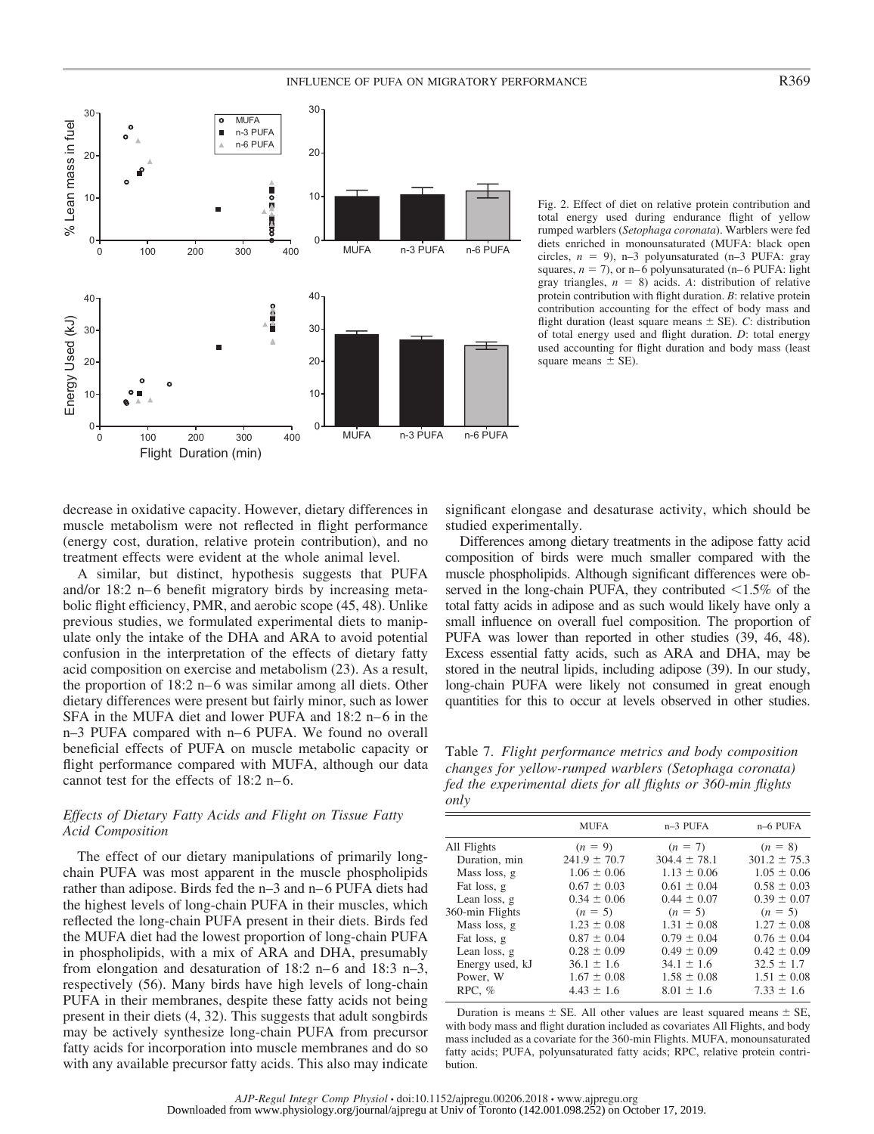# INFLUENCE OF PUFA ON MIGRATORY PERFORMANCE **R369**



Fig. 2. Effect of diet on relative protein contribution and total energy used during endurance flight of yellow rumped warblers (*Setophaga coronata*). Warblers were fed diets enriched in monounsaturated (MUFA: black open circles,  $n = 9$ ), n-3 polyunsaturated (n-3 PUFA: gray squares,  $n = 7$ ), or n–6 polyunsaturated (n–6 PUFA: light gray triangles,  $n = 8$ ) acids. A: distribution of relative protein contribution with flight duration. *B*: relative protein contribution accounting for the effect of body mass and flight duration (least square means  $\pm$  SE). *C*: distribution of total energy used and flight duration. *D*: total energy used accounting for flight duration and body mass (least square means  $\pm$  SE).

decrease in oxidative capacity. However, dietary differences in muscle metabolism were not reflected in flight performance (energy cost, duration, relative protein contribution), and no treatment effects were evident at the whole animal level.

A similar, but distinct, hypothesis suggests that PUFA and/or 18:2 n–6 benefit migratory birds by increasing metabolic flight efficiency, PMR, and aerobic scope (45, 48). Unlike previous studies, we formulated experimental diets to manipulate only the intake of the DHA and ARA to avoid potential confusion in the interpretation of the effects of dietary fatty acid composition on exercise and metabolism (23). As a result, the proportion of 18:2 n– 6 was similar among all diets. Other dietary differences were present but fairly minor, such as lower SFA in the MUFA diet and lower PUFA and 18:2 n–6 in the n–3 PUFA compared with n–6 PUFA. We found no overall beneficial effects of PUFA on muscle metabolic capacity or flight performance compared with MUFA, although our data cannot test for the effects of 18:2 n–6.

# *Effects of Dietary Fatty Acids and Flight on Tissue Fatty Acid Composition*

The effect of our dietary manipulations of primarily longchain PUFA was most apparent in the muscle phospholipids rather than adipose. Birds fed the n–3 and n– 6 PUFA diets had the highest levels of long-chain PUFA in their muscles, which reflected the long-chain PUFA present in their diets. Birds fed the MUFA diet had the lowest proportion of long-chain PUFA in phospholipids, with a mix of ARA and DHA, presumably from elongation and desaturation of  $18:2$  n–6 and  $18:3$  n–3, respectively (56). Many birds have high levels of long-chain PUFA in their membranes, despite these fatty acids not being present in their diets (4, 32). This suggests that adult songbirds may be actively synthesize long-chain PUFA from precursor fatty acids for incorporation into muscle membranes and do so with any available precursor fatty acids. This also may indicate significant elongase and desaturase activity, which should be studied experimentally.

Differences among dietary treatments in the adipose fatty acid composition of birds were much smaller compared with the muscle phospholipids. Although significant differences were observed in the long-chain PUFA, they contributed  $\leq 1.5\%$  of the total fatty acids in adipose and as such would likely have only a small influence on overall fuel composition. The proportion of PUFA was lower than reported in other studies (39, 46, 48). Excess essential fatty acids, such as ARA and DHA, may be stored in the neutral lipids, including adipose (39). In our study, long-chain PUFA were likely not consumed in great enough quantities for this to occur at levels observed in other studies.

Table 7. *Flight performance metrics and body composition changes for yellow-rumped warblers (Setophaga coronata) fed the experimental diets for all flights or 360-min flights only*

|                 | <b>MUFA</b>      | $n-3$ PUFA       | n-6 PUFA         |
|-----------------|------------------|------------------|------------------|
| All Flights     | $(n = 9)$        | $(n = 7)$        | $(n = 8)$        |
| Duration, min   | $241.9 \pm 70.7$ | $304.4 \pm 78.1$ | $301.2 \pm 75.3$ |
| Mass loss, g    | $1.06 \pm 0.06$  | $1.13 \pm 0.06$  | $1.05 \pm 0.06$  |
| Fat loss, g     | $0.67 \pm 0.03$  | $0.61 \pm 0.04$  | $0.58 \pm 0.03$  |
| Lean loss, g    | $0.34 \pm 0.06$  | $0.44 \pm 0.07$  | $0.39 \pm 0.07$  |
| 360-min Flights | $(n = 5)$        | $(n = 5)$        | $(n = 5)$        |
| Mass loss, g    | $1.23 \pm 0.08$  | $1.31 \pm 0.08$  | $1.27 \pm 0.08$  |
| Fat loss, g     | $0.87 \pm 0.04$  | $0.79 \pm 0.04$  | $0.76 \pm 0.04$  |
| Lean loss, g    | $0.28 \pm 0.09$  | $0.49 \pm 0.09$  | $0.42 \pm 0.09$  |
| Energy used, kJ | $36.1 \pm 1.6$   | $34.1 \pm 1.6$   | $32.5 \pm 1.7$   |
| Power. W        | $1.67 \pm 0.08$  | $1.58 \pm 0.08$  | $1.51 \pm 0.08$  |
| RPC, $%$        | $4.43 \pm 1.6$   | $8.01 \pm 1.6$   | $7.33 \pm 1.6$   |
|                 |                  |                  |                  |

Duration is means  $\pm$  SE. All other values are least squared means  $\pm$  SE, with body mass and flight duration included as covariates All Flights, and body mass included as a covariate for the 360-min Flights. MUFA, monounsaturated fatty acids; PUFA, polyunsaturated fatty acids; RPC, relative protein contribution.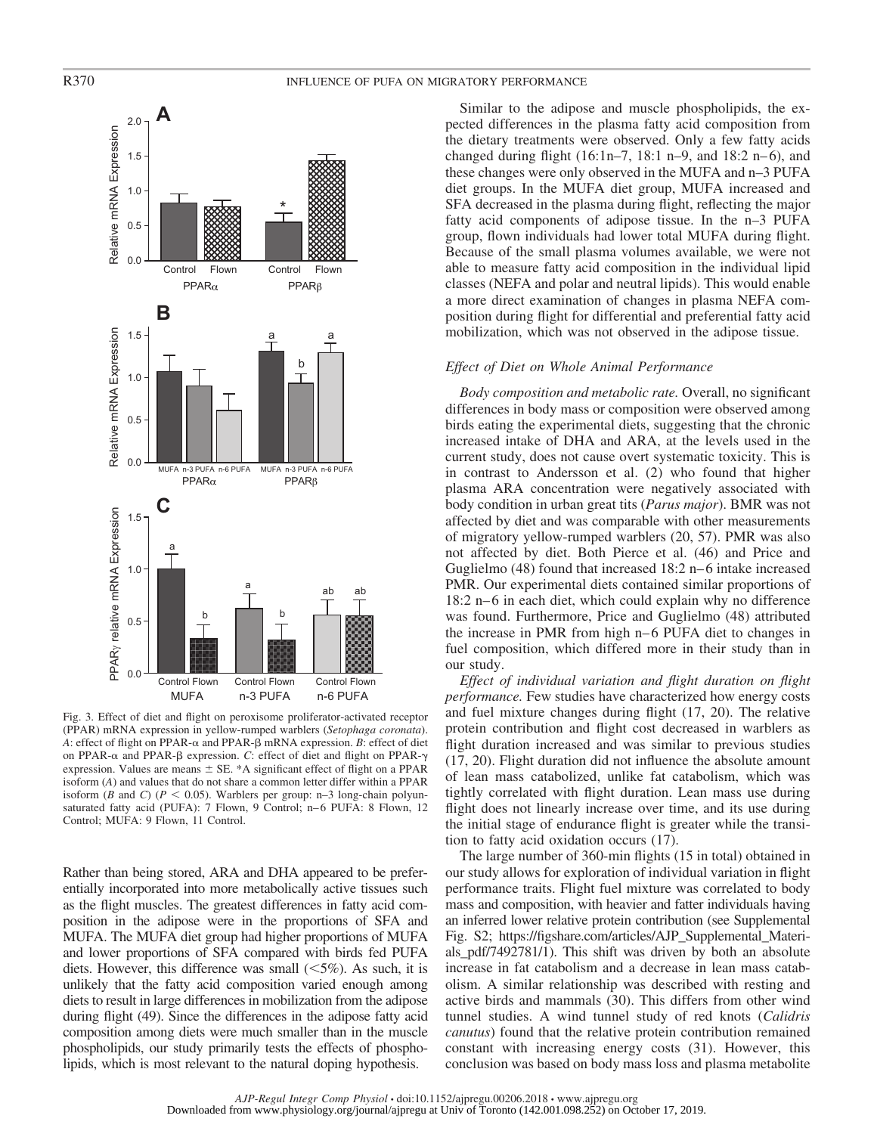

Fig. 3. Effect of diet and flight on peroxisome proliferator-activated receptor (PPAR) mRNA expression in yellow-rumped warblers (*Setophaga coronata*). A: effect of flight on PPAR- $\alpha$  and PPAR- $\beta$  mRNA expression. *B*: effect of diet on PPAR- $\alpha$  and PPAR- $\beta$  expression. *C*: effect of diet and flight on PPAR- $\gamma$ expression. Values are means  $\pm$  SE. \*A significant effect of flight on a PPAR isoform (*A*) and values that do not share a common letter differ within a PPAR isoform (*B* and *C*) ( $P < 0.05$ ). Warblers per group: n–3 long-chain polyunsaturated fatty acid (PUFA): 7 Flown, 9 Control; n-6 PUFA: 8 Flown, 12 Control; MUFA: 9 Flown, 11 Control.

Rather than being stored, ARA and DHA appeared to be preferentially incorporated into more metabolically active tissues such as the flight muscles. The greatest differences in fatty acid composition in the adipose were in the proportions of SFA and MUFA. The MUFA diet group had higher proportions of MUFA and lower proportions of SFA compared with birds fed PUFA diets. However, this difference was small  $(<5\%)$ . As such, it is unlikely that the fatty acid composition varied enough among diets to result in large differences in mobilization from the adipose during flight (49). Since the differences in the adipose fatty acid composition among diets were much smaller than in the muscle phospholipids, our study primarily tests the effects of phospholipids, which is most relevant to the natural doping hypothesis.

Similar to the adipose and muscle phospholipids, the expected differences in the plasma fatty acid composition from the dietary treatments were observed. Only a few fatty acids changed during flight  $(16:1n-7, 18:1 n-9,$  and  $18:2 n-6)$ , and these changes were only observed in the MUFA and n–3 PUFA diet groups. In the MUFA diet group, MUFA increased and SFA decreased in the plasma during flight, reflecting the major fatty acid components of adipose tissue. In the n–3 PUFA group, flown individuals had lower total MUFA during flight. Because of the small plasma volumes available, we were not able to measure fatty acid composition in the individual lipid classes (NEFA and polar and neutral lipids). This would enable a more direct examination of changes in plasma NEFA composition during flight for differential and preferential fatty acid mobilization, which was not observed in the adipose tissue.

### *Effect of Diet on Whole Animal Performance*

*Body composition and metabolic rate.* Overall, no significant differences in body mass or composition were observed among birds eating the experimental diets, suggesting that the chronic increased intake of DHA and ARA, at the levels used in the current study, does not cause overt systematic toxicity. This is in contrast to Andersson et al. (2) who found that higher plasma ARA concentration were negatively associated with body condition in urban great tits (*Parus major*). BMR was not affected by diet and was comparable with other measurements of migratory yellow-rumped warblers (20, 57). PMR was also not affected by diet. Both Pierce et al. (46) and Price and Guglielmo (48) found that increased 18:2 n– 6 intake increased PMR. Our experimental diets contained similar proportions of 18:2 n– 6 in each diet, which could explain why no difference was found. Furthermore, Price and Guglielmo (48) attributed the increase in PMR from high n– 6 PUFA diet to changes in fuel composition, which differed more in their study than in our study.

*Effect of individual variation and flight duration on flight performance.* Few studies have characterized how energy costs and fuel mixture changes during flight (17, 20). The relative protein contribution and flight cost decreased in warblers as flight duration increased and was similar to previous studies (17, 20). Flight duration did not influence the absolute amount of lean mass catabolized, unlike fat catabolism, which was tightly correlated with flight duration. Lean mass use during flight does not linearly increase over time, and its use during the initial stage of endurance flight is greater while the transition to fatty acid oxidation occurs (17).

The large number of 360-min flights (15 in total) obtained in our study allows for exploration of individual variation in flight performance traits. Flight fuel mixture was correlated to body mass and composition, with heavier and fatter individuals having an inferred lower relative protein contribution (see Supplemental Fig. S2; [https://figshare.com/articles/AJP\\_Supplemental\\_Materi](https://figshare.com/articles/AJP_Supplemental_Materials_pdf/7492781/1)[als\\_pdf/7492781/1\)](https://figshare.com/articles/AJP_Supplemental_Materials_pdf/7492781/1). This shift was driven by both an absolute increase in fat catabolism and a decrease in lean mass catabolism. A similar relationship was described with resting and active birds and mammals (30). This differs from other wind tunnel studies. A wind tunnel study of red knots (*Calidris canutus*) found that the relative protein contribution remained constant with increasing energy costs (31). However, this conclusion was based on body mass loss and plasma metabolite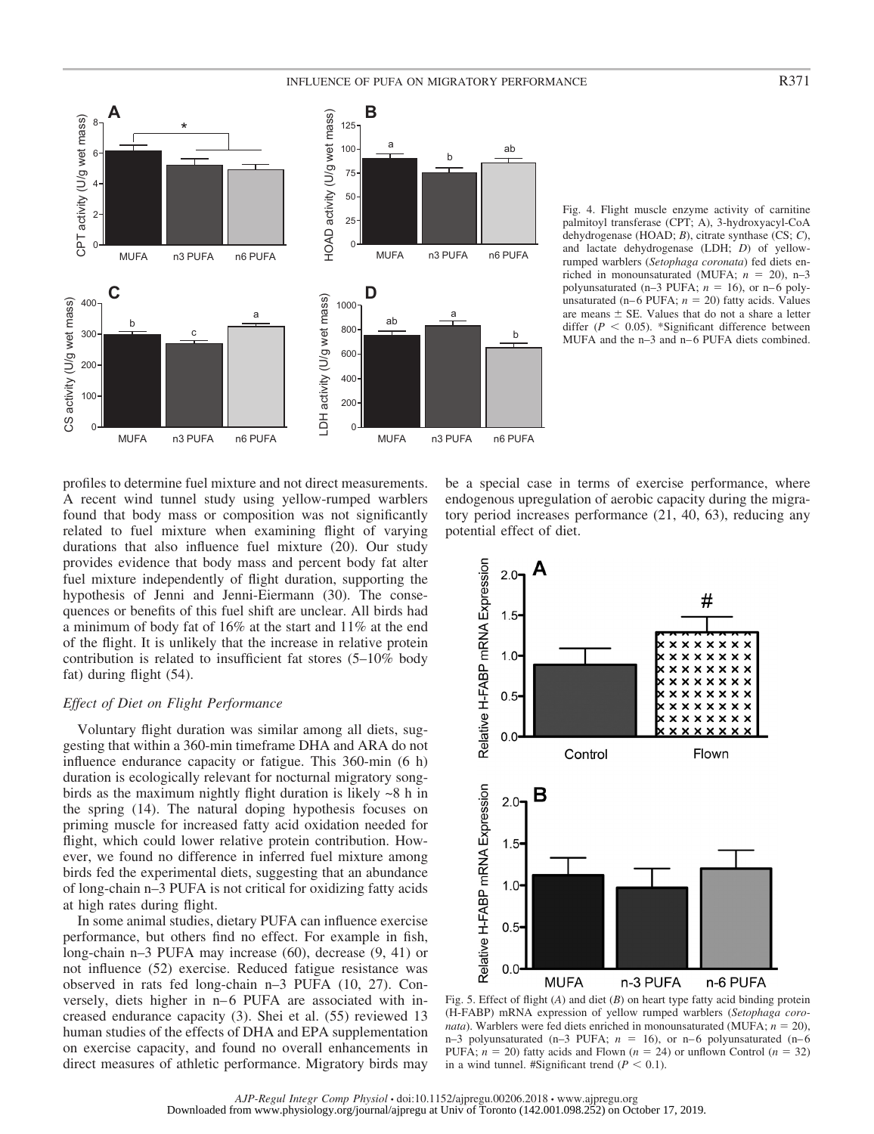# INFLUENCE OF PUFA ON MIGRATORY PERFORMANCE R371



Fig. 4. Flight muscle enzyme activity of carnitine palmitoyl transferase (CPT; A), 3-hydroxyacyl-CoA dehydrogenase (HOAD; *B*), citrate synthase (CS; *C*), and lactate dehydrogenase (LDH; *D*) of yellowrumped warblers (*Setophaga coronata*) fed diets enriched in monounsaturated (MUFA;  $n = 20$ ), n-3 polyunsaturated (n-3 PUFA;  $n = 16$ ), or n-6 polyunsaturated  $(n-6$  PUFA;  $n = 20$ ) fatty acids. Values are means  $\pm$  SE. Values that do not a share a letter differ  $(P < 0.05)$ . \*Significant difference between MUFA and the n-3 and n-6 PUFA diets combined.

profiles to determine fuel mixture and not direct measurements. A recent wind tunnel study using yellow-rumped warblers found that body mass or composition was not significantly related to fuel mixture when examining flight of varying durations that also influence fuel mixture (20). Our study provides evidence that body mass and percent body fat alter fuel mixture independently of flight duration, supporting the hypothesis of Jenni and Jenni-Eiermann (30). The consequences or benefits of this fuel shift are unclear. All birds had a minimum of body fat of 16% at the start and 11% at the end of the flight. It is unlikely that the increase in relative protein contribution is related to insufficient fat stores (5–10% body fat) during flight (54).

# *Effect of Diet on Flight Performance*

Voluntary flight duration was similar among all diets, suggesting that within a 360-min timeframe DHA and ARA do not influence endurance capacity or fatigue. This 360-min (6 h) duration is ecologically relevant for nocturnal migratory songbirds as the maximum nightly flight duration is likely ~8 h in the spring (14). The natural doping hypothesis focuses on priming muscle for increased fatty acid oxidation needed for flight, which could lower relative protein contribution. However, we found no difference in inferred fuel mixture among birds fed the experimental diets, suggesting that an abundance of long-chain n–3 PUFA is not critical for oxidizing fatty acids at high rates during flight.

In some animal studies, dietary PUFA can influence exercise performance, but others find no effect. For example in fish, long-chain n–3 PUFA may increase (60), decrease (9, 41) or not influence (52) exercise. Reduced fatigue resistance was observed in rats fed long-chain n–3 PUFA (10, 27). Conversely, diets higher in n–6 PUFA are associated with increased endurance capacity (3). Shei et al. (55) reviewed 13 human studies of the effects of DHA and EPA supplementation on exercise capacity, and found no overall enhancements in direct measures of athletic performance. Migratory birds may

be a special case in terms of exercise performance, where endogenous upregulation of aerobic capacity during the migratory period increases performance (21, 40, 63), reducing any potential effect of diet.



Fig. 5. Effect of flight (*A*) and diet (*B*) on heart type fatty acid binding protein (H-FABP) mRNA expression of yellow rumped warblers (*Setophaga coronata*). Warblers were fed diets enriched in monounsaturated (MUFA;  $n = 20$ ), n-3 polyunsaturated (n-3 PUFA;  $n = 16$ ), or n-6 polyunsaturated (n-6 PUFA;  $n = 20$ ) fatty acids and Flown ( $n = 24$ ) or unflown Control ( $n = 32$ ) in a wind tunnel. #Significant trend  $(P < 0.1)$ .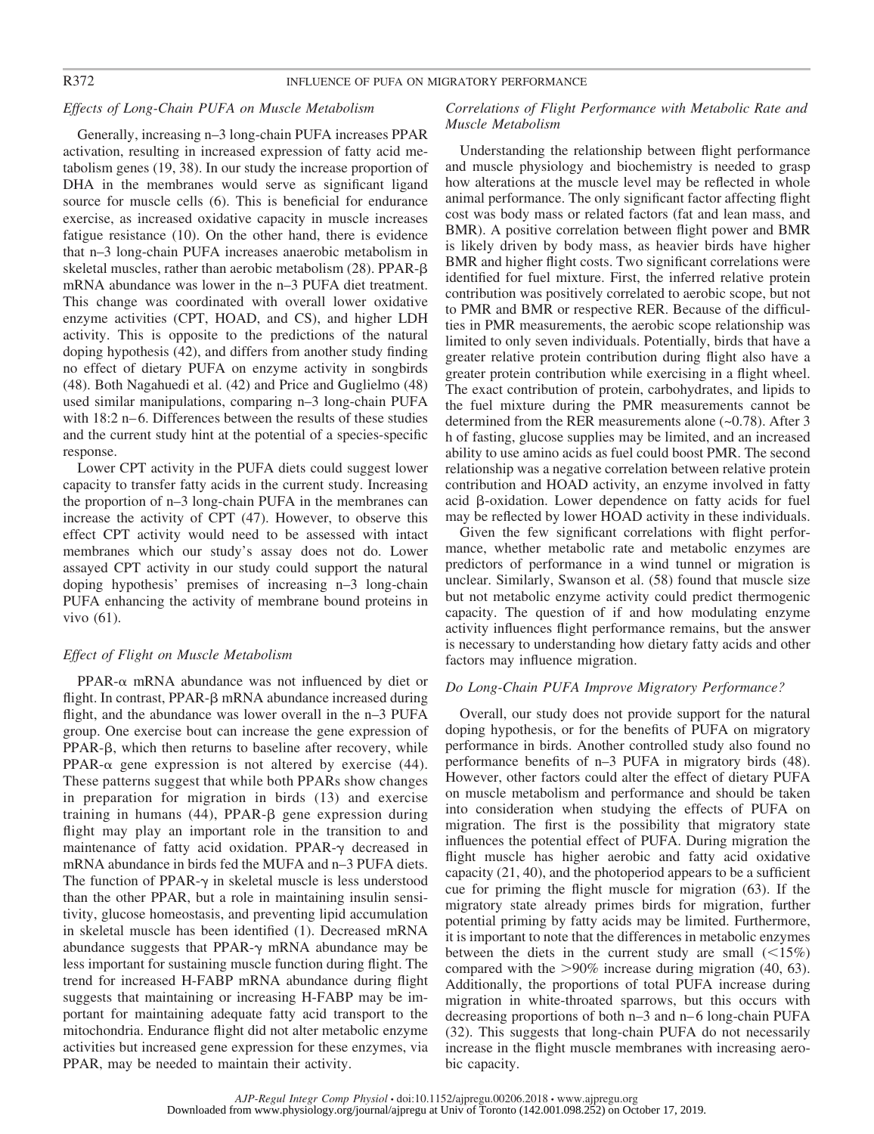# *Effects of Long-Chain PUFA on Muscle Metabolism*

Generally, increasing n–3 long-chain PUFA increases PPAR activation, resulting in increased expression of fatty acid metabolism genes (19, 38). In our study the increase proportion of DHA in the membranes would serve as significant ligand source for muscle cells (6). This is beneficial for endurance exercise, as increased oxidative capacity in muscle increases fatigue resistance (10). On the other hand, there is evidence that n–3 long-chain PUFA increases anaerobic metabolism in skeletal muscles, rather than aerobic metabolism  $(28)$ . PPAR- $\beta$ mRNA abundance was lower in the n–3 PUFA diet treatment. This change was coordinated with overall lower oxidative enzyme activities (CPT, HOAD, and CS), and higher LDH activity. This is opposite to the predictions of the natural doping hypothesis (42), and differs from another study finding no effect of dietary PUFA on enzyme activity in songbirds (48). Both Nagahuedi et al. (42) and Price and Guglielmo (48) used similar manipulations, comparing n–3 long-chain PUFA with 18:2 n–6. Differences between the results of these studies and the current study hint at the potential of a species-specific response.

Lower CPT activity in the PUFA diets could suggest lower capacity to transfer fatty acids in the current study. Increasing the proportion of n–3 long-chain PUFA in the membranes can increase the activity of CPT (47). However, to observe this effect CPT activity would need to be assessed with intact membranes which our study's assay does not do. Lower assayed CPT activity in our study could support the natural doping hypothesis' premises of increasing n–3 long-chain PUFA enhancing the activity of membrane bound proteins in vivo (61).

# *Effect of Flight on Muscle Metabolism*

 $PPAR-\alpha$  mRNA abundance was not influenced by diet or flight. In contrast, PPAR- $\beta$  mRNA abundance increased during flight, and the abundance was lower overall in the n–3 PUFA group. One exercise bout can increase the gene expression of  $PPAR- $\beta$ , which then returns to baseline after recovery, while$ PPAR- $\alpha$  gene expression is not altered by exercise (44). These patterns suggest that while both PPARs show changes in preparation for migration in birds (13) and exercise training in humans  $(44)$ , PPAR- $\beta$  gene expression during flight may play an important role in the transition to and maintenance of fatty acid oxidation. PPAR- $\gamma$  decreased in mRNA abundance in birds fed the MUFA and n–3 PUFA diets. The function of PPAR- $\gamma$  in skeletal muscle is less understood than the other PPAR, but a role in maintaining insulin sensitivity, glucose homeostasis, and preventing lipid accumulation in skeletal muscle has been identified (1). Decreased mRNA abundance suggests that PPAR- $\gamma$  mRNA abundance may be less important for sustaining muscle function during flight. The trend for increased H-FABP mRNA abundance during flight suggests that maintaining or increasing H-FABP may be important for maintaining adequate fatty acid transport to the mitochondria. Endurance flight did not alter metabolic enzyme activities but increased gene expression for these enzymes, via PPAR, may be needed to maintain their activity.

# *Correlations of Flight Performance with Metabolic Rate and Muscle Metabolism*

Understanding the relationship between flight performance and muscle physiology and biochemistry is needed to grasp how alterations at the muscle level may be reflected in whole animal performance. The only significant factor affecting flight cost was body mass or related factors (fat and lean mass, and BMR). A positive correlation between flight power and BMR is likely driven by body mass, as heavier birds have higher BMR and higher flight costs. Two significant correlations were identified for fuel mixture. First, the inferred relative protein contribution was positively correlated to aerobic scope, but not to PMR and BMR or respective RER. Because of the difficulties in PMR measurements, the aerobic scope relationship was limited to only seven individuals. Potentially, birds that have a greater relative protein contribution during flight also have a greater protein contribution while exercising in a flight wheel. The exact contribution of protein, carbohydrates, and lipids to the fuel mixture during the PMR measurements cannot be determined from the RER measurements alone (~0.78). After 3 h of fasting, glucose supplies may be limited, and an increased ability to use amino acids as fuel could boost PMR. The second relationship was a negative correlation between relative protein contribution and HOAD activity, an enzyme involved in fatty acid  $\beta$ -oxidation. Lower dependence on fatty acids for fuel may be reflected by lower HOAD activity in these individuals.

Given the few significant correlations with flight performance, whether metabolic rate and metabolic enzymes are predictors of performance in a wind tunnel or migration is unclear. Similarly, Swanson et al. (58) found that muscle size but not metabolic enzyme activity could predict thermogenic capacity. The question of if and how modulating enzyme activity influences flight performance remains, but the answer is necessary to understanding how dietary fatty acids and other factors may influence migration.

## *Do Long-Chain PUFA Improve Migratory Performance?*

Overall, our study does not provide support for the natural doping hypothesis, or for the benefits of PUFA on migratory performance in birds. Another controlled study also found no performance benefits of n–3 PUFA in migratory birds (48). However, other factors could alter the effect of dietary PUFA on muscle metabolism and performance and should be taken into consideration when studying the effects of PUFA on migration. The first is the possibility that migratory state influences the potential effect of PUFA. During migration the flight muscle has higher aerobic and fatty acid oxidative capacity (21, 40), and the photoperiod appears to be a sufficient cue for priming the flight muscle for migration (63). If the migratory state already primes birds for migration, further potential priming by fatty acids may be limited. Furthermore, it is important to note that the differences in metabolic enzymes between the diets in the current study are small  $(15%)$ compared with the  $>90\%$  increase during migration (40, 63). Additionally, the proportions of total PUFA increase during migration in white-throated sparrows, but this occurs with decreasing proportions of both n–3 and n– 6 long-chain PUFA (32). This suggests that long-chain PUFA do not necessarily increase in the flight muscle membranes with increasing aerobic capacity.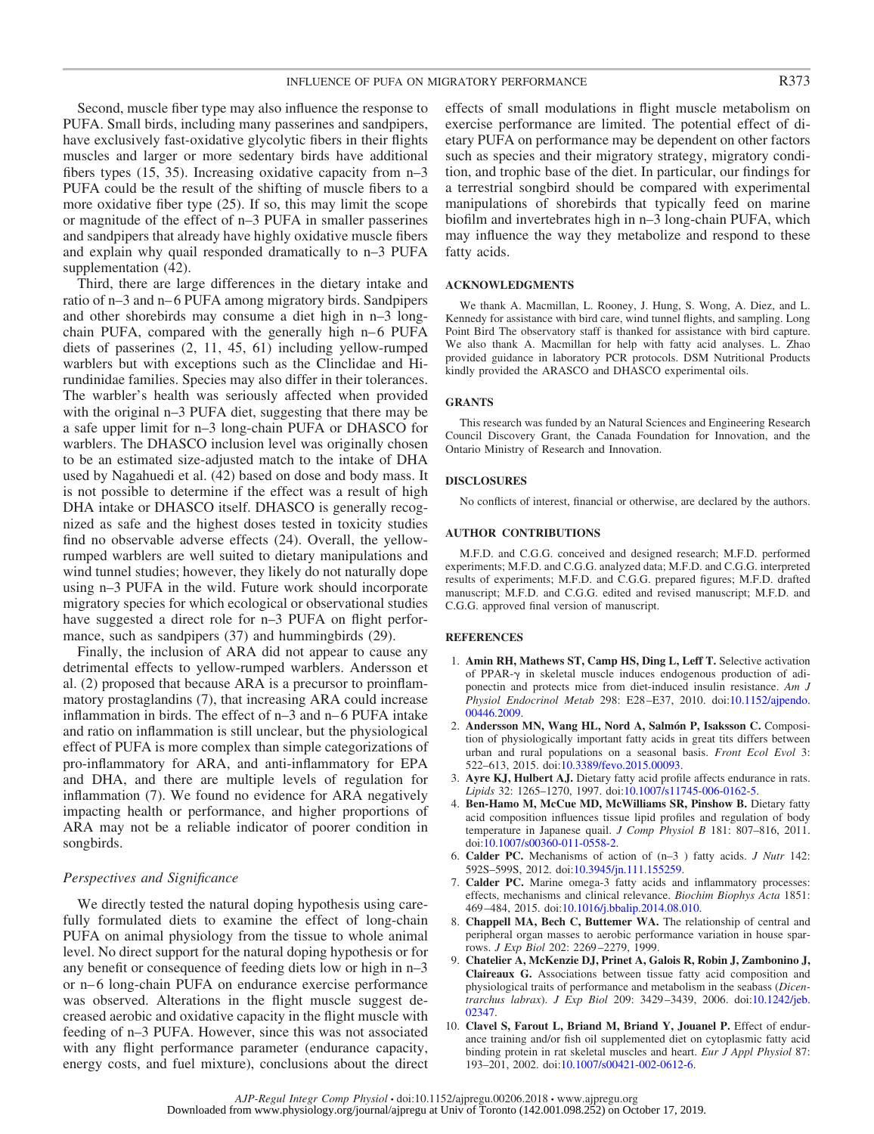Second, muscle fiber type may also influence the response to PUFA. Small birds, including many passerines and sandpipers, have exclusively fast-oxidative glycolytic fibers in their flights muscles and larger or more sedentary birds have additional fibers types (15, 35). Increasing oxidative capacity from n–3 PUFA could be the result of the shifting of muscle fibers to a more oxidative fiber type (25). If so, this may limit the scope or magnitude of the effect of n–3 PUFA in smaller passerines and sandpipers that already have highly oxidative muscle fibers and explain why quail responded dramatically to n–3 PUFA supplementation (42).

Third, there are large differences in the dietary intake and ratio of n–3 and n– 6 PUFA among migratory birds. Sandpipers and other shorebirds may consume a diet high in n–3 longchain PUFA, compared with the generally high n–6 PUFA diets of passerines (2, 11, 45, 61) including yellow-rumped warblers but with exceptions such as the Clinclidae and Hirundinidae families. Species may also differ in their tolerances. The warbler's health was seriously affected when provided with the original n–3 PUFA diet, suggesting that there may be a safe upper limit for n–3 long-chain PUFA or DHASCO for warblers. The DHASCO inclusion level was originally chosen to be an estimated size-adjusted match to the intake of DHA used by Nagahuedi et al. (42) based on dose and body mass. It is not possible to determine if the effect was a result of high DHA intake or DHASCO itself. DHASCO is generally recognized as safe and the highest doses tested in toxicity studies find no observable adverse effects (24). Overall, the yellowrumped warblers are well suited to dietary manipulations and wind tunnel studies; however, they likely do not naturally dope using n–3 PUFA in the wild. Future work should incorporate migratory species for which ecological or observational studies have suggested a direct role for n–3 PUFA on flight performance, such as sandpipers  $(37)$  and hummingbirds  $(29)$ .

Finally, the inclusion of ARA did not appear to cause any detrimental effects to yellow-rumped warblers. Andersson et al. (2) proposed that because ARA is a precursor to proinflammatory prostaglandins (7), that increasing ARA could increase inflammation in birds. The effect of n–3 and n– 6 PUFA intake and ratio on inflammation is still unclear, but the physiological effect of PUFA is more complex than simple categorizations of pro-inflammatory for ARA, and anti-inflammatory for EPA and DHA, and there are multiple levels of regulation for inflammation (7). We found no evidence for ARA negatively impacting health or performance, and higher proportions of ARA may not be a reliable indicator of poorer condition in songbirds.

### *Perspectives and Significance*

We directly tested the natural doping hypothesis using carefully formulated diets to examine the effect of long-chain PUFA on animal physiology from the tissue to whole animal level. No direct support for the natural doping hypothesis or for any benefit or consequence of feeding diets low or high in n–3 or n– 6 long-chain PUFA on endurance exercise performance was observed. Alterations in the flight muscle suggest decreased aerobic and oxidative capacity in the flight muscle with feeding of n–3 PUFA. However, since this was not associated with any flight performance parameter (endurance capacity, energy costs, and fuel mixture), conclusions about the direct effects of small modulations in flight muscle metabolism on exercise performance are limited. The potential effect of dietary PUFA on performance may be dependent on other factors such as species and their migratory strategy, migratory condition, and trophic base of the diet. In particular, our findings for a terrestrial songbird should be compared with experimental manipulations of shorebirds that typically feed on marine biofilm and invertebrates high in n–3 long-chain PUFA, which may influence the way they metabolize and respond to these fatty acids.

#### **ACKNOWLEDGMENTS**

We thank A. Macmillan, L. Rooney, J. Hung, S. Wong, A. Diez, and L. Kennedy for assistance with bird care, wind tunnel flights, and sampling. Long Point Bird The observatory staff is thanked for assistance with bird capture. We also thank A. Macmillan for help with fatty acid analyses. L. Zhao provided guidance in laboratory PCR protocols. DSM Nutritional Products kindly provided the ARASCO and DHASCO experimental oils.

#### **GRANTS**

This research was funded by an Natural Sciences and Engineering Research Council Discovery Grant, the Canada Foundation for Innovation, and the Ontario Ministry of Research and Innovation.

#### **DISCLOSURES**

No conflicts of interest, financial or otherwise, are declared by the authors.

#### **AUTHOR CONTRIBUTIONS**

M.F.D. and C.G.G. conceived and designed research; M.F.D. performed experiments; M.F.D. and C.G.G. analyzed data; M.F.D. and C.G.G. interpreted results of experiments; M.F.D. and C.G.G. prepared figures; M.F.D. drafted manuscript; M.F.D. and C.G.G. edited and revised manuscript; M.F.D. and C.G.G. approved final version of manuscript.

#### **REFERENCES**

- 1. **Amin RH, Mathews ST, Camp HS, Ding L, Leff T.** Selective activation of PPAR- $\gamma$  in skeletal muscle induces endogenous production of adiponectin and protects mice from diet-induced insulin resistance. *Am J Physiol Endocrinol Metab* 298: E28 –E37, 2010. doi[:10.1152/ajpendo.](https://doi.org/10.1152/ajpendo.00446.2009) [00446.2009.](https://doi.org/10.1152/ajpendo.00446.2009)
- 2. **Andersson MN, Wang HL, Nord A, Salmón P, Isaksson C.** Composition of physiologically important fatty acids in great tits differs between urban and rural populations on a seasonal basis. *Front Ecol Evol* 3: 522–613, 2015. doi[:10.3389/fevo.2015.00093.](https://doi.org/10.3389/fevo.2015.00093)
- 3. **Ayre KJ, Hulbert AJ.** Dietary fatty acid profile affects endurance in rats. *Lipids* 32: 1265–1270, 1997. doi[:10.1007/s11745-006-0162-5.](https://doi.org/10.1007/s11745-006-0162-5)
- 4. **Ben-Hamo M, McCue MD, McWilliams SR, Pinshow B.** Dietary fatty acid composition influences tissue lipid profiles and regulation of body temperature in Japanese quail. *J Comp Physiol B* 181: 807–816, 2011. doi[:10.1007/s00360-011-0558-2.](https://doi.org/10.1007/s00360-011-0558-2)
- 6. **Calder PC.** Mechanisms of action of (n–3 ) fatty acids. *J Nutr* 142: 592S–599S, 2012. doi[:10.3945/jn.111.155259.](https://doi.org/10.3945/jn.111.155259)
- 7. **Calder PC.** Marine omega-3 fatty acids and inflammatory processes: effects, mechanisms and clinical relevance. *Biochim Biophys Acta* 1851: 469 –484, 2015. doi[:10.1016/j.bbalip.2014.08.010.](https://doi.org/10.1016/j.bbalip.2014.08.010)
- 8. **Chappell MA, Bech C, Buttemer WA.** The relationship of central and peripheral organ masses to aerobic performance variation in house sparrows. *J Exp Biol* 202: 2269 –2279, 1999.
- 9. **Chatelier A, McKenzie DJ, Prinet A, Galois R, Robin J, Zambonino J, Claireaux G.** Associations between tissue fatty acid composition and physiological traits of performance and metabolism in the seabass (*Dicentrarchus labrax*). *J Exp Biol* 209: 3429 –3439, 2006. doi[:10.1242/jeb.](https://doi.org/10.1242/jeb.02347) [02347.](https://doi.org/10.1242/jeb.02347)
- 10. **Clavel S, Farout L, Briand M, Briand Y, Jouanel P.** Effect of endurance training and/or fish oil supplemented diet on cytoplasmic fatty acid binding protein in rat skeletal muscles and heart. *Eur J Appl Physiol* 87: 193–201, 2002. doi[:10.1007/s00421-002-0612-6.](https://doi.org/10.1007/s00421-002-0612-6)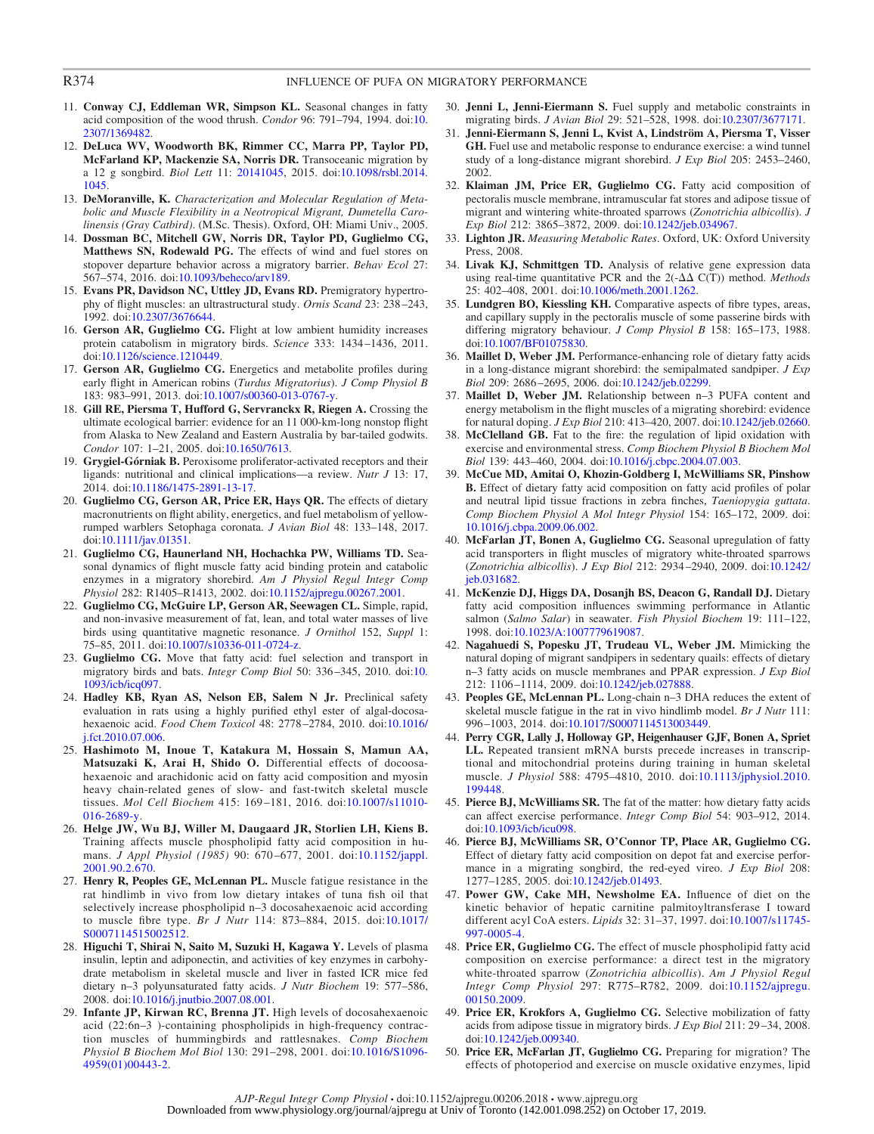# R374 **INFLUENCE OF PUFA ON MIGRATORY PERFORMANCE**

- 11. **Conway CJ, Eddleman WR, Simpson KL.** Seasonal changes in fatty acid composition of the wood thrush. *Condor* 96: 791–794, 1994. doi[:10.](https://doi.org/10.2307/1369482) [2307/1369482.](https://doi.org/10.2307/1369482)
- 12. **DeLuca WV, Woodworth BK, Rimmer CC, Marra PP, Taylor PD, McFarland KP, Mackenzie SA, Norris DR.** Transoceanic migration by a 12 g songbird. *Biol Lett* 11: [20141045,](http://dx.doi.org/20141045) 2015. doi[:10.1098/rsbl.2014.](https://doi.org/10.1098/rsbl.2014.1045) [1045.](https://doi.org/10.1098/rsbl.2014.1045)
- 13. **DeMoranville, K.** *Characterization and Molecular Regulation of Metabolic and Muscle Flexibility in a Neotropical Migrant, Dumetella Carolinensis (Gray Catbird)*. (M.Sc. Thesis). Oxford, OH: Miami Univ., 2005.
- 14. **Dossman BC, Mitchell GW, Norris DR, Taylor PD, Guglielmo CG, Matthews SN, Rodewald PG.** The effects of wind and fuel stores on stopover departure behavior across a migratory barrier. *Behav Ecol* 27: 567–574, 2016. doi[:10.1093/beheco/arv189.](https://doi.org/10.1093/beheco/arv189)
- 15. **Evans PR, Davidson NC, Uttley JD, Evans RD.** Premigratory hypertrophy of flight muscles: an ultrastructural study. *Ornis Scand* 23: 238 –243, 1992. doi[:10.2307/3676644.](https://doi.org/10.2307/3676644)
- 16. Gerson AR, Guglielmo CG. Flight at low ambient humidity increases protein catabolism in migratory birds. *Science* 333: 1434 –1436, 2011. doi[:10.1126/science.1210449.](https://doi.org/10.1126/science.1210449)
- 17. **Gerson AR, Guglielmo CG.** Energetics and metabolite profiles during early flight in American robins (*Turdus Migratorius*). *J Comp Physiol B* 183: 983–991, 2013. doi[:10.1007/s00360-013-0767-y.](https://doi.org/10.1007/s00360-013-0767-y)
- 18. **Gill RE, Piersma T, Hufford G, Servranckx R, Riegen A.** Crossing the ultimate ecological barrier: evidence for an 11 000-km-long nonstop flight from Alaska to New Zealand and Eastern Australia by bar-tailed godwits. *Condor* 107: 1–21, 2005. doi[:10.1650/7613.](https://doi.org/10.1650/7613)
- 19. **Grygiel-Górniak B.** Peroxisome proliferator-activated receptors and their ligands: nutritional and clinical implications—a review. *Nutr J* 13: 17, 2014. doi[:10.1186/1475-2891-13-17.](https://doi.org/10.1186/1475-2891-13-17)
- 20. **Guglielmo CG, Gerson AR, Price ER, Hays QR.** The effects of dietary macronutrients on flight ability, energetics, and fuel metabolism of yellowrumped warblers Setophaga coronata. *J Avian Biol* 48: 133–148, 2017. doi[:10.1111/jav.01351.](https://doi.org/10.1111/jav.01351)
- 21. **Guglielmo CG, Haunerland NH, Hochachka PW, Williams TD.** Seasonal dynamics of flight muscle fatty acid binding protein and catabolic enzymes in a migratory shorebird. *Am J Physiol Regul Integr Comp Physiol* 282: R1405–R1413, 2002. doi[:10.1152/ajpregu.00267.2001.](https://doi.org/10.1152/ajpregu.00267.2001)
- 22. **Guglielmo CG, McGuire LP, Gerson AR, Seewagen CL.** Simple, rapid, and non-invasive measurement of fat, lean, and total water masses of live birds using quantitative magnetic resonance. *J Ornithol* 152, *Suppl* 1: 75–85, 2011. doi[:10.1007/s10336-011-0724-z.](https://doi.org/10.1007/s10336-011-0724-z)
- 23. **Guglielmo CG.** Move that fatty acid: fuel selection and transport in migratory birds and bats. *Integr Comp Biol* 50: 336 –345, 2010. doi[:10.](https://doi.org/10.1093/icb/icq097) [1093/icb/icq097.](https://doi.org/10.1093/icb/icq097)
- 24. **Hadley KB, Ryan AS, Nelson EB, Salem N Jr.** Preclinical safety evaluation in rats using a highly purified ethyl ester of algal-docosahexaenoic acid. *Food Chem Toxicol* 48: 2778 –2784, 2010. doi[:10.1016/](https://doi.org/10.1016/j.fct.2010.07.006) [j.fct.2010.07.006.](https://doi.org/10.1016/j.fct.2010.07.006)
- 25. **Hashimoto M, Inoue T, Katakura M, Hossain S, Mamun AA, Matsuzaki K, Arai H, Shido O.** Differential effects of docoosahexaenoic and arachidonic acid on fatty acid composition and myosin heavy chain-related genes of slow- and fast-twitch skeletal muscle tissues. *Mol Cell Biochem* 415: 169 –181, 2016. doi[:10.1007/s11010-](https://doi.org/10.1007/s11010-016-2689-y) [016-2689-y.](https://doi.org/10.1007/s11010-016-2689-y)
- 26. **Helge JW, Wu BJ, Willer M, Daugaard JR, Storlien LH, Kiens B.** Training affects muscle phospholipid fatty acid composition in humans. *J Appl Physiol (1985)* 90: 670 –677, 2001. doi[:10.1152/jappl.](https://doi.org/10.1152/jappl.2001.90.2.670) [2001.90.2.670.](https://doi.org/10.1152/jappl.2001.90.2.670)
- 27. **Henry R, Peoples GE, McLennan PL.** Muscle fatigue resistance in the rat hindlimb in vivo from low dietary intakes of tuna fish oil that selectively increase phospholipid n–3 docosahexaenoic acid according to muscle fibre type. *Br J Nutr* 114: 873–884, 2015. doi[:10.1017/](https://doi.org/10.1017/S0007114515002512) [S0007114515002512.](https://doi.org/10.1017/S0007114515002512)
- 28. **Higuchi T, Shirai N, Saito M, Suzuki H, Kagawa Y.** Levels of plasma insulin, leptin and adiponectin, and activities of key enzymes in carbohydrate metabolism in skeletal muscle and liver in fasted ICR mice fed dietary n–3 polyunsaturated fatty acids. *J Nutr Biochem* 19: 577–586, 2008. doi[:10.1016/j.jnutbio.2007.08.001.](https://doi.org/10.1016/j.jnutbio.2007.08.001)
- 29. **Infante JP, Kirwan RC, Brenna JT.** High levels of docosahexaenoic acid (22:6n–3 )-containing phospholipids in high-frequency contraction muscles of hummingbirds and rattlesnakes. *Comp Biochem Physiol B Biochem Mol Biol* 130: 291–298, 2001. doi[:10.1016/S1096-](https://doi.org/10.1016/S1096-4959%2801%2900443-2) [4959\(01\)00443-2.](https://doi.org/10.1016/S1096-4959%2801%2900443-2)
- 30. **Jenni L, Jenni-Eiermann S.** Fuel supply and metabolic constraints in migrating birds. *J Avian Biol* 29: 521–528, 1998. doi[:10.2307/3677171.](https://doi.org/10.2307/3677171)
- 31. **Jenni-Eiermann S, Jenni L, Kvist A, Lindström A, Piersma T, Visser GH.** Fuel use and metabolic response to endurance exercise: a wind tunnel study of a long-distance migrant shorebird. *J Exp Biol* 205: 2453–2460, 2002.
- 32. **Klaiman JM, Price ER, Guglielmo CG.** Fatty acid composition of pectoralis muscle membrane, intramuscular fat stores and adipose tissue of migrant and wintering white-throated sparrows (*Zonotrichia albicollis*). *J Exp Biol* 212: 3865–3872, 2009. doi[:10.1242/jeb.034967.](https://doi.org/10.1242/jeb.034967)
- 33. **Lighton JR.** *Measuring Metabolic Rates*. Oxford, UK: Oxford University Press, 2008.
- 34. **Livak KJ, Schmittgen TD.** Analysis of relative gene expression data using real-time quantitative PCR and the  $2(-\Delta\Delta C(T))$  method. *Methods* 25: 402–408, 2001. doi[:10.1006/meth.2001.1262.](https://doi.org/10.1006/meth.2001.1262)
- 35. **Lundgren BO, Kiessling KH.** Comparative aspects of fibre types, areas, and capillary supply in the pectoralis muscle of some passerine birds with differing migratory behaviour. *J Comp Physiol B* 158: 165–173, 1988. doi[:10.1007/BF01075830.](https://doi.org/10.1007/BF01075830)
- 36. **Maillet D, Weber JM.** Performance-enhancing role of dietary fatty acids in a long-distance migrant shorebird: the semipalmated sandpiper. *J Exp Biol* 209: 2686 –2695, 2006. doi[:10.1242/jeb.02299.](https://doi.org/10.1242/jeb.02299)
- 37. **Maillet D, Weber JM.** Relationship between n–3 PUFA content and energy metabolism in the flight muscles of a migrating shorebird: evidence for natural doping. *J Exp Biol* 210: 413–420, 2007. doi[:10.1242/jeb.02660.](https://doi.org/10.1242/jeb.02660)
- 38. **McClelland GB.** Fat to the fire: the regulation of lipid oxidation with exercise and environmental stress. *Comp Biochem Physiol B Biochem Mol Biol* 139: 443–460, 2004. doi[:10.1016/j.cbpc.2004.07.003.](https://doi.org/10.1016/j.cbpc.2004.07.003)
- 39. **McCue MD, Amitai O, Khozin-Goldberg I, McWilliams SR, Pinshow B.** Effect of dietary fatty acid composition on fatty acid profiles of polar and neutral lipid tissue fractions in zebra finches, *Taeniopygia guttata*. *Comp Biochem Physiol A Mol Integr Physiol* 154: 165–172, 2009. doi: [10.1016/j.cbpa.2009.06.002.](https://doi.org/10.1016/j.cbpa.2009.06.002)
- 40. **McFarlan JT, Bonen A, Guglielmo CG.** Seasonal upregulation of fatty acid transporters in flight muscles of migratory white-throated sparrows (*Zonotrichia albicollis*). *J Exp Biol* 212: 2934 –2940, 2009. doi[:10.1242/](https://doi.org/10.1242/jeb.031682) [jeb.031682.](https://doi.org/10.1242/jeb.031682)
- 41. **McKenzie DJ, Higgs DA, Dosanjh BS, Deacon G, Randall DJ.** Dietary fatty acid composition influences swimming performance in Atlantic salmon (*Salmo Salar*) in seawater. *Fish Physiol Biochem* 19: 111–122, 1998. doi[:10.1023/A:1007779619087.](https://doi.org/10.1023/A:1007779619087)
- 42. **Nagahuedi S, Popesku JT, Trudeau VL, Weber JM.** Mimicking the natural doping of migrant sandpipers in sedentary quails: effects of dietary n–3 fatty acids on muscle membranes and PPAR expression. *J Exp Biol* 212: 1106 –1114, 2009. doi[:10.1242/jeb.027888.](https://doi.org/10.1242/jeb.027888)
- 43. **Peoples GE, McLennan PL.** Long-chain n–3 DHA reduces the extent of skeletal muscle fatigue in the rat in vivo hindlimb model. *Br J Nutr* 111: 996 –1003, 2014. doi[:10.1017/S0007114513003449.](https://doi.org/10.1017/S0007114513003449)
- 44. **Perry CGR, Lally J, Holloway GP, Heigenhauser GJF, Bonen A, Spriet LL.** Repeated transient mRNA bursts precede increases in transcriptional and mitochondrial proteins during training in human skeletal muscle. *J Physiol* 588: 4795–4810, 2010. doi[:10.1113/jphysiol.2010.](https://doi.org/10.1113/jphysiol.2010.199448) [199448.](https://doi.org/10.1113/jphysiol.2010.199448)
- 45. **Pierce BJ, McWilliams SR.** The fat of the matter: how dietary fatty acids can affect exercise performance. *Integr Comp Biol* 54: 903–912, 2014. doi[:10.1093/icb/icu098.](https://doi.org/10.1093/icb/icu098)
- 46. **Pierce BJ, McWilliams SR, O'Connor TP, Place AR, Guglielmo CG.** Effect of dietary fatty acid composition on depot fat and exercise performance in a migrating songbird, the red-eyed vireo. *J Exp Biol* 208: 1277–1285, 2005. doi[:10.1242/jeb.01493.](https://doi.org/10.1242/jeb.01493)
- 47. **Power GW, Cake MH, Newsholme EA.** Influence of diet on the kinetic behavior of hepatic carnitine palmitoyltransferase I toward different acyl CoA esters. *Lipids* 32: 31–37, 1997. doi[:10.1007/s11745-](https://doi.org/10.1007/s11745-997-0005-4) [997-0005-4.](https://doi.org/10.1007/s11745-997-0005-4)
- 48. **Price ER, Guglielmo CG.** The effect of muscle phospholipid fatty acid composition on exercise performance: a direct test in the migratory white-throated sparrow (*Zonotrichia albicollis*). *Am J Physiol Regul Integr Comp Physiol* 297: R775–R782, 2009. doi[:10.1152/ajpregu.](https://doi.org/10.1152/ajpregu.00150.2009) [00150.2009.](https://doi.org/10.1152/ajpregu.00150.2009)
- 49. **Price ER, Krokfors A, Guglielmo CG.** Selective mobilization of fatty acids from adipose tissue in migratory birds. *J Exp Biol* 211: 29 –34, 2008. doi[:10.1242/jeb.009340.](https://doi.org/10.1242/jeb.009340)
- 50. **Price ER, McFarlan JT, Guglielmo CG.** Preparing for migration? The effects of photoperiod and exercise on muscle oxidative enzymes, lipid